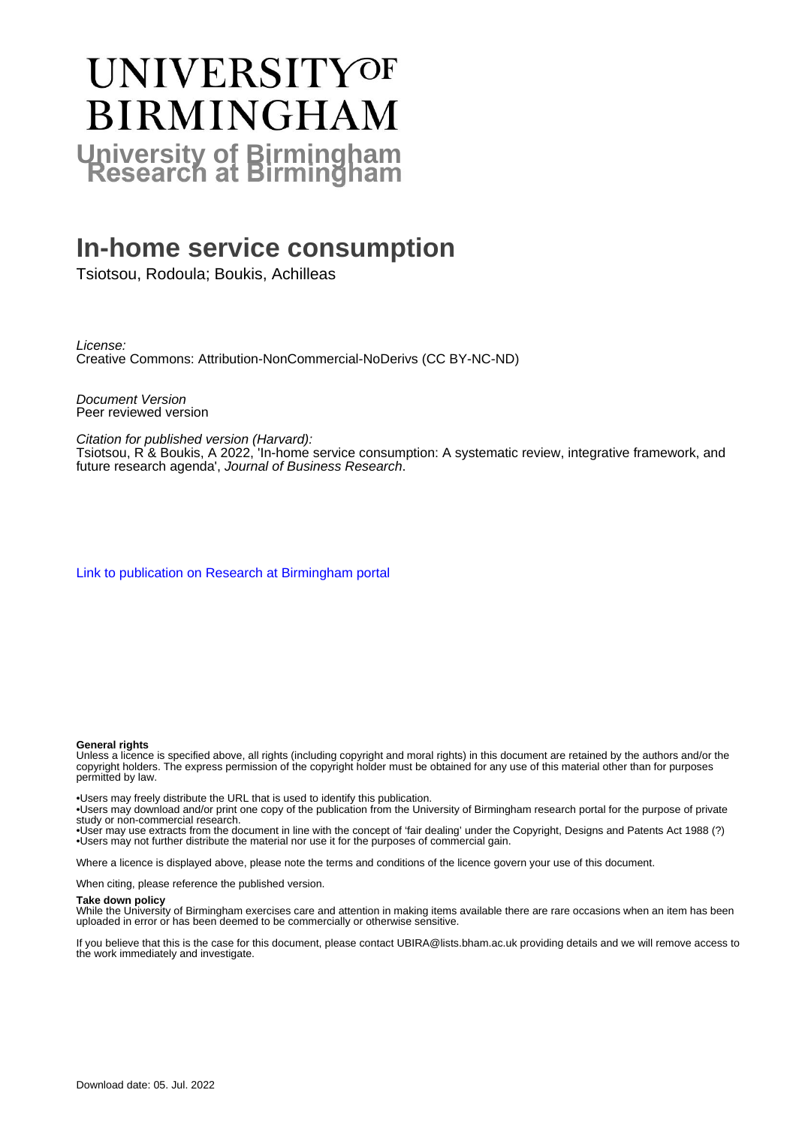# **UNIVERSITYOF BIRMINGHAM University of Birmingham**

# **In-home service consumption**

Tsiotsou, Rodoula; Boukis, Achilleas

License: Creative Commons: Attribution-NonCommercial-NoDerivs (CC BY-NC-ND)

Document Version Peer reviewed version

Citation for published version (Harvard):

Tsiotsou, R & Boukis, A 2022, 'In-home service consumption: A systematic review, integrative framework, and future research agenda', Journal of Business Research.

[Link to publication on Research at Birmingham portal](https://birmingham.elsevierpure.com/en/publications/a8e54315-73d7-4ace-833c-f086aa3990d3)

#### **General rights**

Unless a licence is specified above, all rights (including copyright and moral rights) in this document are retained by the authors and/or the copyright holders. The express permission of the copyright holder must be obtained for any use of this material other than for purposes permitted by law.

• Users may freely distribute the URL that is used to identify this publication.

• Users may download and/or print one copy of the publication from the University of Birmingham research portal for the purpose of private study or non-commercial research.

• User may use extracts from the document in line with the concept of 'fair dealing' under the Copyright, Designs and Patents Act 1988 (?) • Users may not further distribute the material nor use it for the purposes of commercial gain.

Where a licence is displayed above, please note the terms and conditions of the licence govern your use of this document.

When citing, please reference the published version.

#### **Take down policy**

While the University of Birmingham exercises care and attention in making items available there are rare occasions when an item has been uploaded in error or has been deemed to be commercially or otherwise sensitive.

If you believe that this is the case for this document, please contact UBIRA@lists.bham.ac.uk providing details and we will remove access to the work immediately and investigate.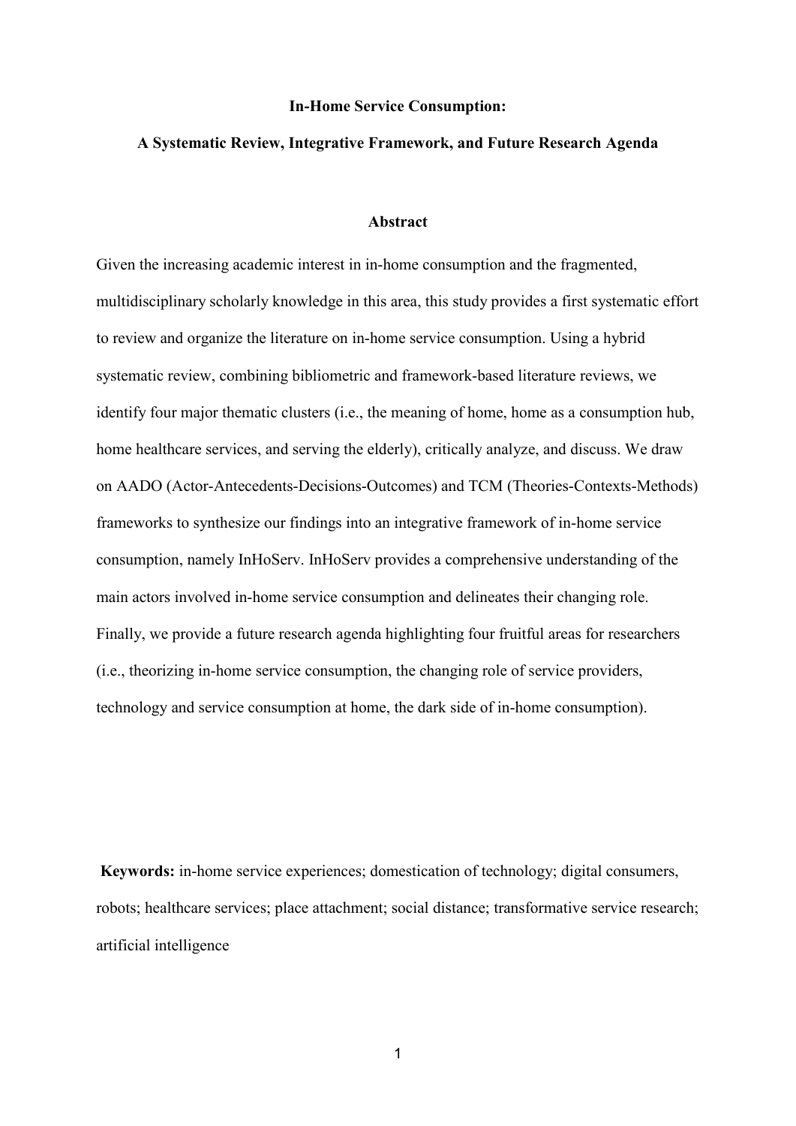#### **In-Home Service Consumption:**

#### **A Systematic Review, Integrative Framework, and Future Research Agenda**

#### **Abstract**

Given the increasing academic interest in in-home consumption and the fragmented, multidisciplinary scholarly knowledge in this area, this study provides a first systematic effort to review and organize the literature on in-home service consumption. Using a hybrid systematic review, combining bibliometric and framework-based literature reviews, we identify four major thematic clusters (i.e., the meaning of home, home as a consumption hub, home healthcare services, and serving the elderly), critically analyze, and discuss. We draw on AADO (Actor-Antecedents-Decisions-Outcomes) and TCM (Theories-Contexts-Methods) frameworks to synthesize our findings into an integrative framework of in-home service consumption, namely InHoServ. InHoServ provides a comprehensive understanding of the main actors involved in-home service consumption and delineates their changing role. Finally, we provide a future research agenda highlighting four fruitful areas for researchers (i.e., theorizing in-home service consumption, the changing role of service providers, technology and service consumption at home, the dark side of in-home consumption).

**Keywords:** in-home service experiences; domestication of technology; digital consumers, robots; healthcare services; place attachment; social distance; transformative service research; artificial intelligence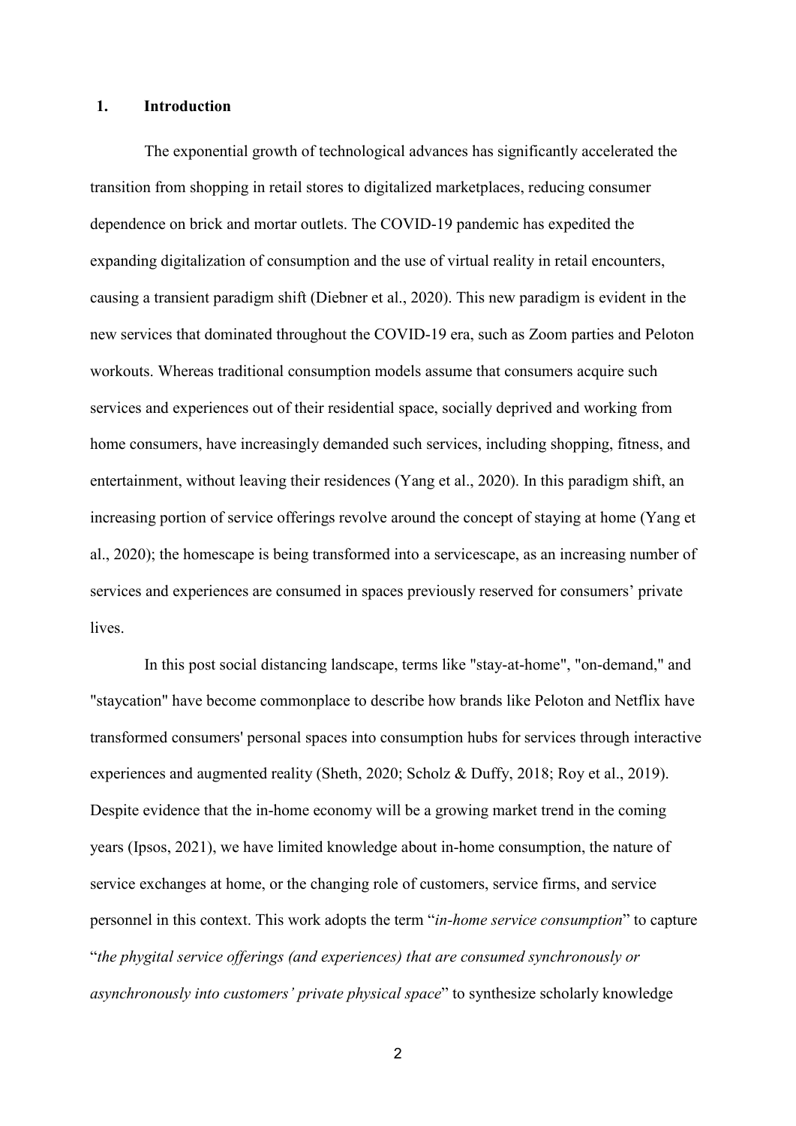#### **1. Introduction**

The exponential growth of technological advances has significantly accelerated the transition from shopping in retail stores to digitalized marketplaces, reducing consumer dependence on brick and mortar outlets. The COVID-19 pandemic has expedited the expanding digitalization of consumption and the use of virtual reality in retail encounters, causing a transient paradigm shift (Diebner et al., 2020). This new paradigm is evident in the new services that dominated throughout the COVID-19 era, such as Zoom parties and Peloton workouts. Whereas traditional consumption models assume that consumers acquire such services and experiences out of their residential space, socially deprived and working from home consumers, have increasingly demanded such services, including shopping, fitness, and entertainment, without leaving their residences (Yang et al., 2020). In this paradigm shift, an increasing portion of service offerings revolve around the concept of staying at home (Yang et al., 2020); the homescape is being transformed into a servicescape, as an increasing number of services and experiences are consumed in spaces previously reserved for consumers' private lives.

In this post social distancing landscape, terms like "stay-at-home", "on-demand," and "staycation" have become commonplace to describe how brands like Peloton and Netflix have transformed consumers' personal spaces into consumption hubs for services through interactive experiences and augmented reality (Sheth, 2020; Scholz & Duffy, 2018; Roy et al., 2019). Despite evidence that the in-home economy will be a growing market trend in the coming years (Ipsos, 2021), we have limited knowledge about in-home consumption, the nature of service exchanges at home, or the changing role of customers, service firms, and service personnel in this context. This work adopts the term "*in-home service consumption*" to capture "*the phygital service offerings (and experiences) that are consumed synchronously or asynchronously into customers' private physical space*" to synthesize scholarly knowledge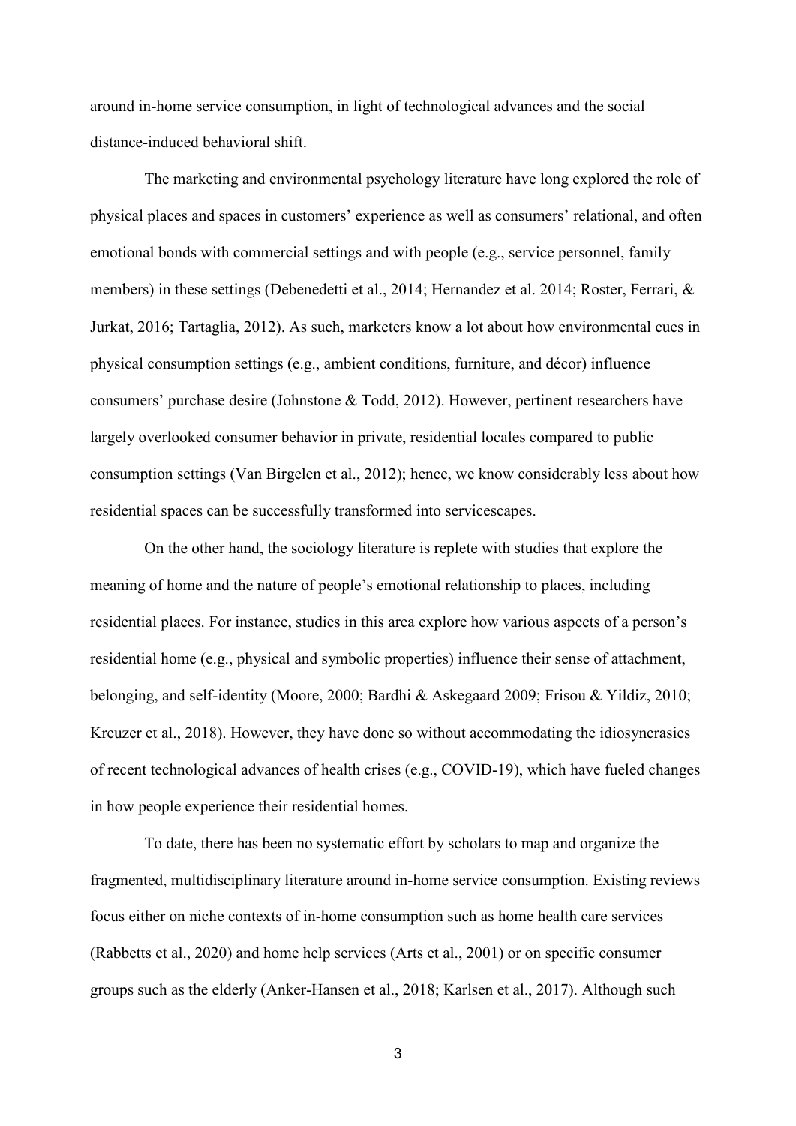around in-home service consumption, in light of technological advances and the social distance-induced behavioral shift.

The marketing and environmental psychology literature have long explored the role of physical places and spaces in customers' experience as well as consumers' relational, and often emotional bonds with commercial settings and with people (e.g., service personnel, family members) in these settings (Debenedetti et al., 2014; Hernandez et al. 2014; Roster, Ferrari, & Jurkat, 2016; Tartaglia, 2012). As such, marketers know a lot about how environmental cues in physical consumption settings (e.g., ambient conditions, furniture, and décor) influence consumers' purchase desire (Johnstone & Todd, 2012). However, pertinent researchers have largely overlooked consumer behavior in private, residential locales compared to public consumption settings (Van Birgelen et al., 2012); hence, we know considerably less about how residential spaces can be successfully transformed into servicescapes.

On the other hand, the sociology literature is replete with studies that explore the meaning of home and the nature of people's emotional relationship to places, including residential places. For instance, studies in this area explore how various aspects of a person's residential home (e.g., physical and symbolic properties) influence their sense of attachment, belonging, and self-identity (Moore, 2000; Bardhi & Askegaard 2009; Frisou & Yildiz, 2010; Kreuzer et al., 2018). However, they have done so without accommodating the idiosyncrasies of recent technological advances of health crises (e.g., COVID-19), which have fueled changes in how people experience their residential homes.

To date, there has been no systematic effort by scholars to map and organize the fragmented, multidisciplinary literature around in-home service consumption. Existing reviews focus either on niche contexts of in-home consumption such as home health care services (Rabbetts et al., 2020) and home help services (Arts et al., 2001) or on specific consumer groups such as the elderly (Anker-Hansen et al., 2018; Karlsen et al., 2017). Although such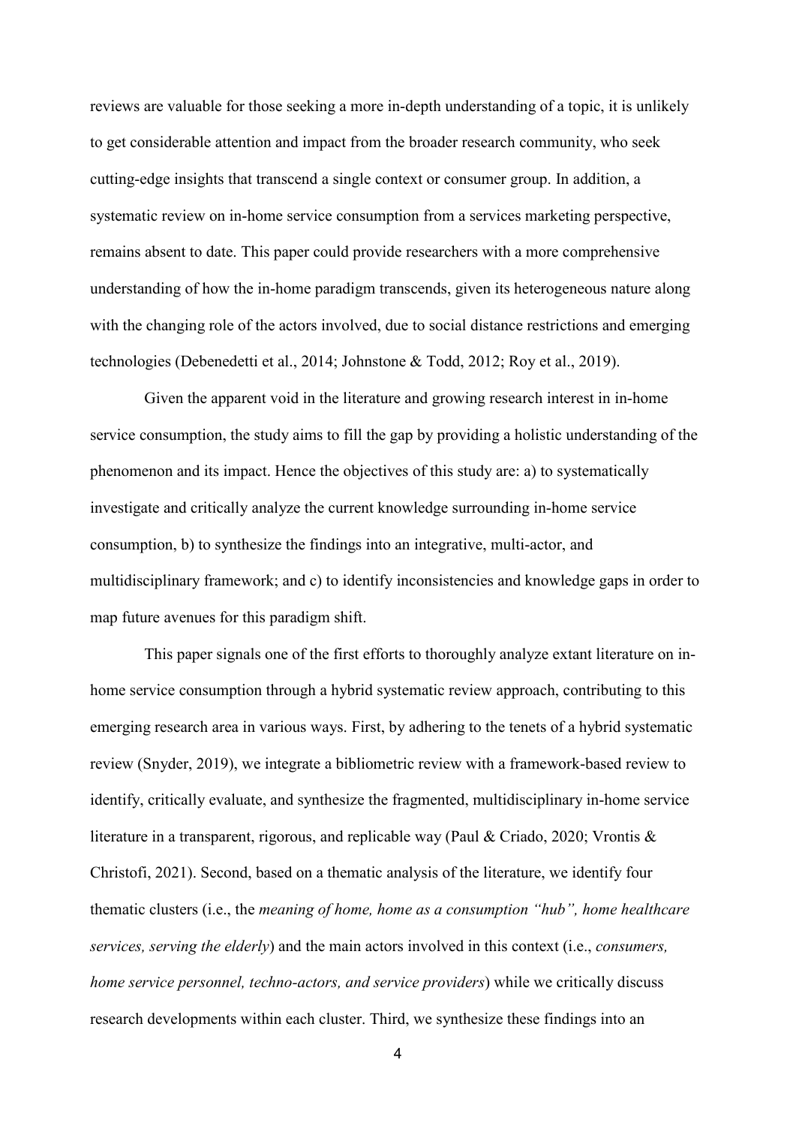reviews are valuable for those seeking a more in-depth understanding of a topic, it is unlikely to get considerable attention and impact from the broader research community, who seek cutting-edge insights that transcend a single context or consumer group. In addition, a systematic review on in-home service consumption from a services marketing perspective, remains absent to date. This paper could provide researchers with a more comprehensive understanding of how the in-home paradigm transcends, given its heterogeneous nature along with the changing role of the actors involved, due to social distance restrictions and emerging technologies (Debenedetti et al., 2014; Johnstone & Todd, 2012; Roy et al., 2019).

Given the apparent void in the literature and growing research interest in in-home service consumption, the study aims to fill the gap by providing a holistic understanding of the phenomenon and its impact. Hence the objectives of this study are: a) to systematically investigate and critically analyze the current knowledge surrounding in-home service consumption, b) to synthesize the findings into an integrative, multi-actor, and multidisciplinary framework; and c) to identify inconsistencies and knowledge gaps in order to map future avenues for this paradigm shift.

This paper signals one of the first efforts to thoroughly analyze extant literature on inhome service consumption through a hybrid systematic review approach, contributing to this emerging research area in various ways. First, by adhering to the tenets of a hybrid systematic review (Snyder, 2019), we integrate a bibliometric review with a framework-based review to identify, critically evaluate, and synthesize the fragmented, multidisciplinary in-home service literature in a transparent, rigorous, and replicable way (Paul & Criado, 2020; Vrontis & Christofi, 2021). Second, based on a thematic analysis of the literature, we identify four thematic clusters (i.e., the *meaning of home, home as a consumption "hub", home healthcare services, serving the elderly*) and the main actors involved in this context (i.e., *consumers, home service personnel, techno-actors, and service providers*) while we critically discuss research developments within each cluster. Third, we synthesize these findings into an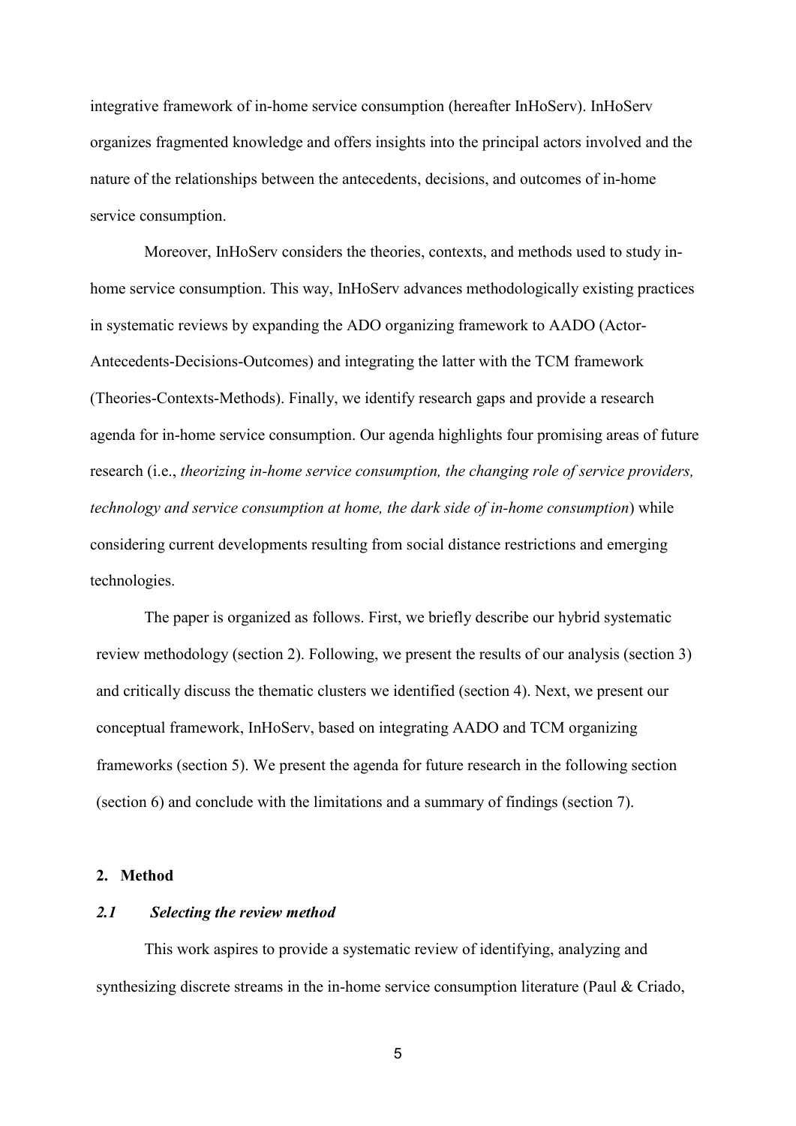integrative framework of in-home service consumption (hereafter InHoServ). InHoServ organizes fragmented knowledge and offers insights into the principal actors involved and the nature of the relationships between the antecedents, decisions, and outcomes of in-home service consumption.

Moreover, InHoServ considers the theories, contexts, and methods used to study inhome service consumption. This way, InHoServ advances methodologically existing practices in systematic reviews by expanding the ADO organizing framework to AADO (Actor-Antecedents-Decisions-Outcomes) and integrating the latter with the TCM framework (Theories-Contexts-Methods). Finally, we identify research gaps and provide a research agenda for in-home service consumption. Our agenda highlights four promising areas of future research (i.e., *theorizing in-home service consumption, the changing role of service providers, technology and service consumption at home, the dark side of in-home consumption*) while considering current developments resulting from social distance restrictions and emerging technologies.

The paper is organized as follows. First, we briefly describe our hybrid systematic review methodology (section 2). Following, we present the results of our analysis (section 3) and critically discuss the thematic clusters we identified (section 4). Next, we present our conceptual framework, InHoServ, based on integrating AADO and TCM organizing frameworks (section 5). We present the agenda for future research in the following section (section 6) and conclude with the limitations and a summary of findings (section 7).

#### **2. Method**

#### *2.1 Selecting the review method*

This work aspires to provide a systematic review of identifying, analyzing and synthesizing discrete streams in the in-home service consumption literature (Paul & Criado,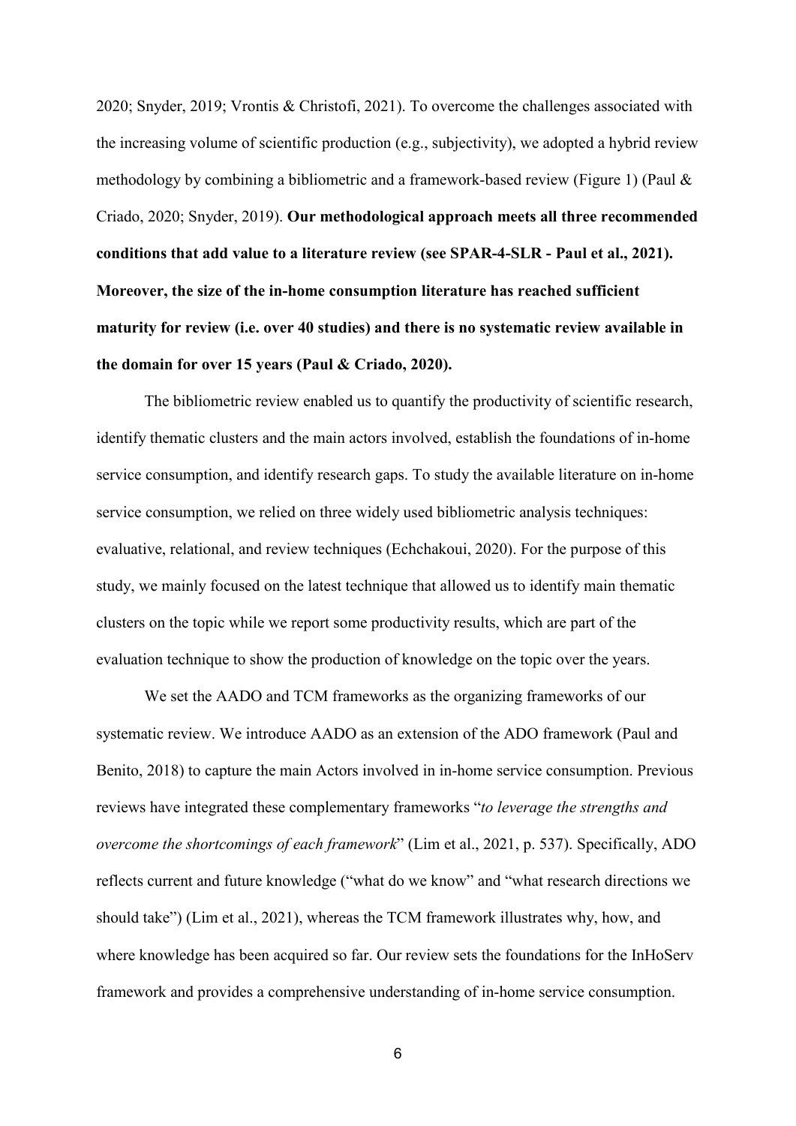2020; Snyder, 2019; Vrontis & Christofi, 2021). To overcome the challenges associated with the increasing volume of scientific production (e.g., subjectivity), we adopted a hybrid review methodology by combining a bibliometric and a framework-based review (Figure 1) (Paul & Criado, 2020; Snyder, 2019). **Our methodological approach meets all three recommended conditions that add value to a literature review (see SPAR-4-SLR - Paul et al., 2021). Moreover, the size of the in-home consumption literature has reached sufficient maturity for review (i.e. over 40 studies) and there is no systematic review available in the domain for over 15 years (Paul & Criado, 2020).** 

The bibliometric review enabled us to quantify the productivity of scientific research, identify thematic clusters and the main actors involved, establish the foundations of in-home service consumption, and identify research gaps. To study the available literature on in-home service consumption, we relied on three widely used bibliometric analysis techniques: evaluative, relational, and review techniques (Echchakoui, 2020). For the purpose of this study, we mainly focused on the latest technique that allowed us to identify main thematic clusters on the topic while we report some productivity results, which are part of the evaluation technique to show the production of knowledge on the topic over the years.

We set the AADO and TCM frameworks as the organizing frameworks of our systematic review. We introduce AADO as an extension of the ADO framework (Paul and Benito, 2018) to capture the main Actors involved in in-home service consumption. Previous reviews have integrated these complementary frameworks "*to leverage the strengths and overcome the shortcomings of each framework*" (Lim et al., 2021, p. 537). Specifically, ADO reflects current and future knowledge ("what do we know" and "what research directions we should take") (Lim et al., 2021), whereas the TCM framework illustrates why, how, and where knowledge has been acquired so far. Our review sets the foundations for the InHoServ framework and provides a comprehensive understanding of in-home service consumption.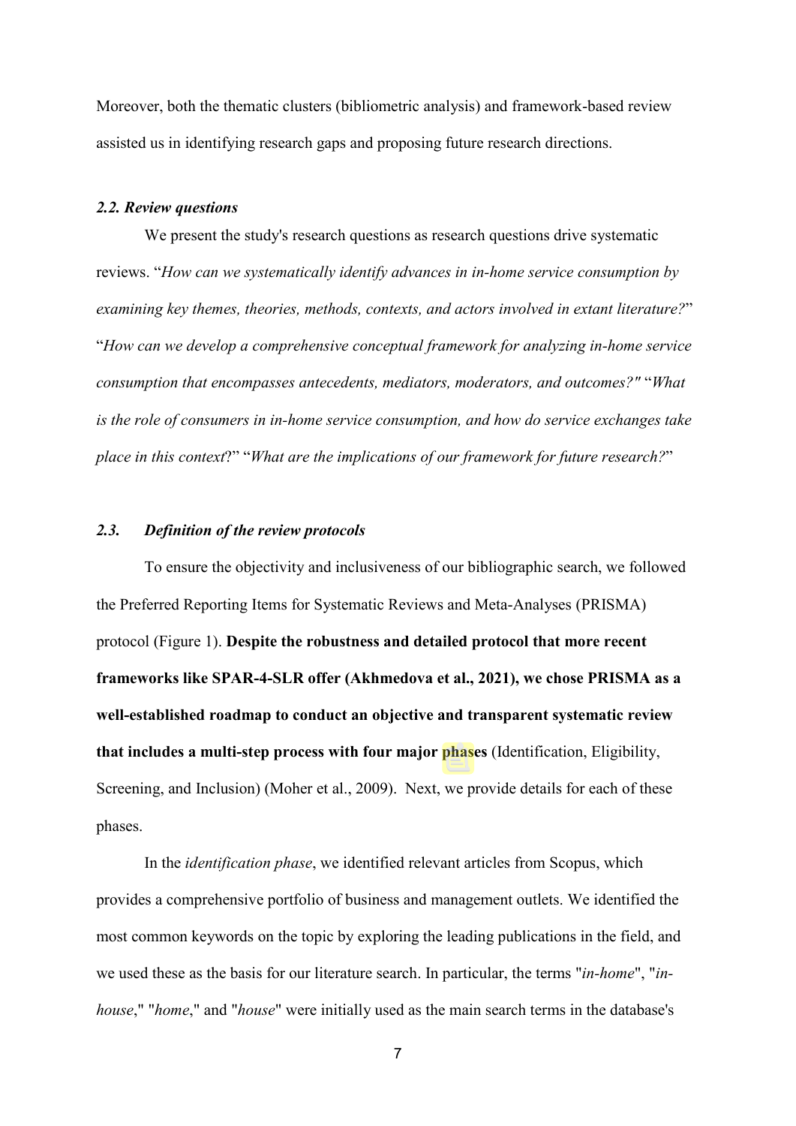Moreover, both the thematic clusters (bibliometric analysis) and framework-based review assisted us in identifying research gaps and proposing future research directions.

#### *2.2. Review questions*

We present the study's research questions as research questions drive systematic reviews. "*How can we systematically identify advances in in-home service consumption by examining key themes, theories, methods, contexts, and actors involved in extant literature?*" "*How can we develop a comprehensive conceptual framework for analyzing in-home service consumption that encompasses antecedents, mediators, moderators, and outcomes?"* "*What is the role of consumers in in-home service consumption, and how do service exchanges take place in this context*?" "*What are the implications of our framework for future research?*"

#### *2.3. Definition of the review protocols*

To ensure the objectivity and inclusiveness of our bibliographic search, we followed the Preferred Reporting Items for Systematic Reviews and Meta-Analyses (PRISMA) protocol (Figure 1). **Despite the robustness and detailed protocol that more recent frameworks like SPAR-4-SLR offer (Akhmedova et al., 2021), we chose PRISMA as a well-established roadmap to conduct an objective and transparent systematic review that includes a multi-step process with four major phases** (Identification, Eligibility, Screening, and Inclusion) (Moher et al., 2009). Next, we provide details for each of these phases.

In the *identification phase*, we identified relevant articles from Scopus, which provides a comprehensive portfolio of business and management outlets. We identified the most common keywords on the topic by exploring the leading publications in the field, and we used these as the basis for our literature search. In particular, the terms "*in-home*", "*inhouse*," "*home*," and "*house*" were initially used as the main search terms in the database's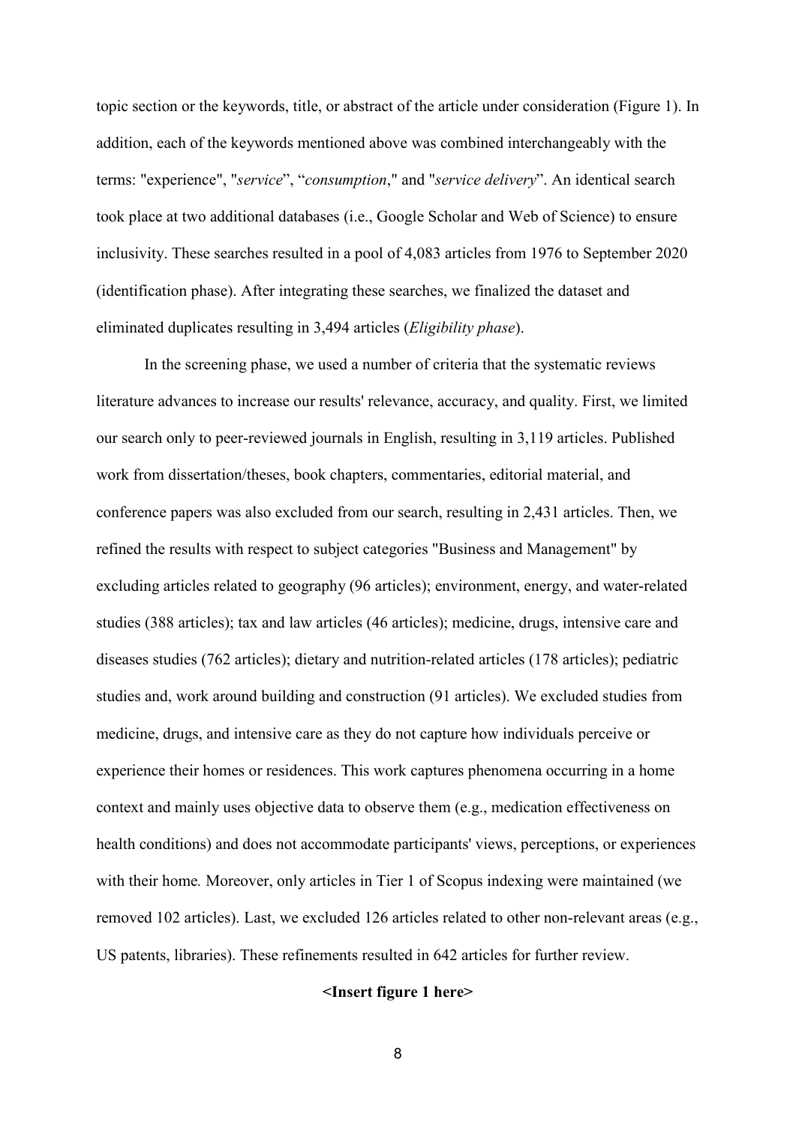topic section or the keywords, title, or abstract of the article under consideration (Figure 1). In addition, each of the keywords mentioned above was combined interchangeably with the terms: "experience", "*service*", "*consumption*," and "*service delivery*". An identical search took place at two additional databases (i.e., Google Scholar and Web of Science) to ensure inclusivity. These searches resulted in a pool of 4,083 articles from 1976 to September 2020 (identification phase). After integrating these searches, we finalized the dataset and eliminated duplicates resulting in 3,494 articles (*Eligibility phase*).

In the screening phase, we used a number of criteria that the systematic reviews literature advances to increase our results' relevance, accuracy, and quality. First, we limited our search only to peer-reviewed journals in English, resulting in 3,119 articles. Published work from dissertation/theses, book chapters, commentaries, editorial material, and conference papers was also excluded from our search, resulting in 2,431 articles. Then, we refined the results with respect to subject categories "Business and Management" by excluding articles related to geography (96 articles); environment, energy, and water-related studies (388 articles); tax and law articles (46 articles); medicine, drugs, intensive care and diseases studies (762 articles); dietary and nutrition-related articles (178 articles); pediatric studies and, work around building and construction (91 articles). We excluded studies from medicine, drugs, and intensive care as they do not capture how individuals perceive or experience their homes or residences. This work captures phenomena occurring in a home context and mainly uses objective data to observe them (e.g., medication effectiveness on health conditions) and does not accommodate participants' views, perceptions, or experiences with their home*.* Moreover, only articles in Tier 1 of Scopus indexing were maintained (we removed 102 articles). Last, we excluded 126 articles related to other non-relevant areas (e.g., US patents, libraries). These refinements resulted in 642 articles for further review.

#### **<Insert figure 1 here>**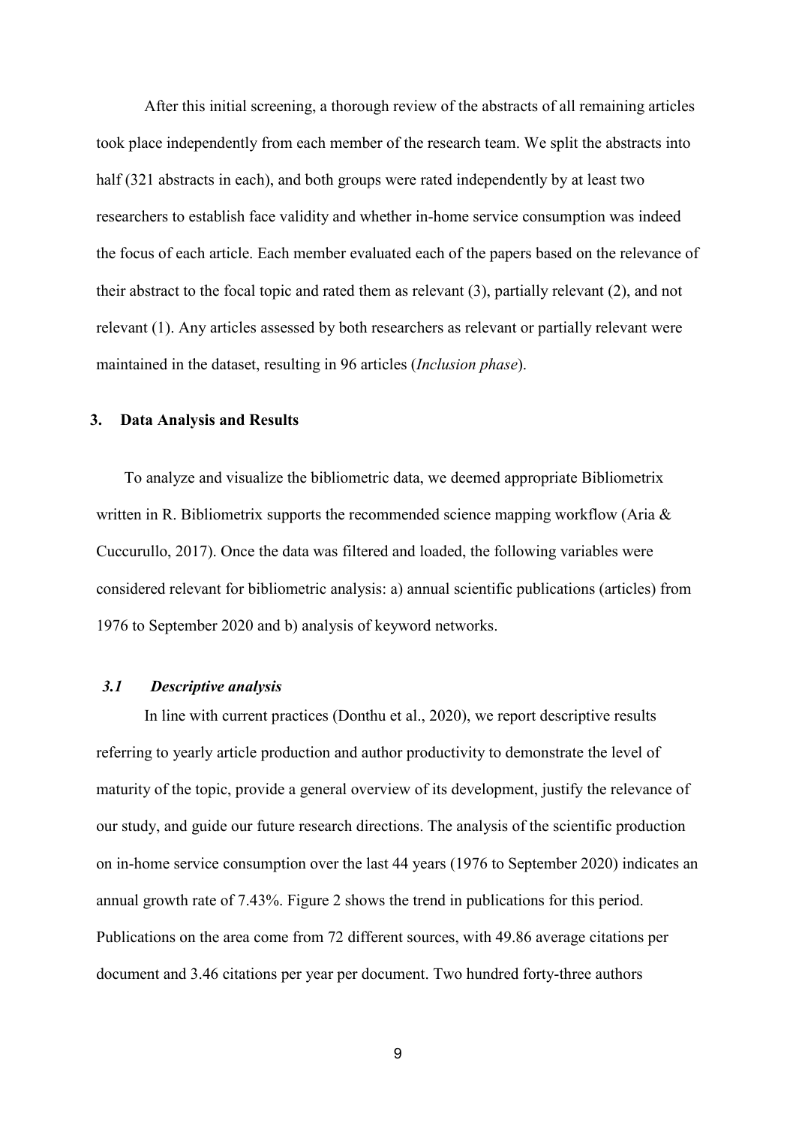After this initial screening, a thorough review of the abstracts of all remaining articles took place independently from each member of the research team. We split the abstracts into half (321 abstracts in each), and both groups were rated independently by at least two researchers to establish face validity and whether in-home service consumption was indeed the focus of each article. Each member evaluated each of the papers based on the relevance of their abstract to the focal topic and rated them as relevant (3), partially relevant (2), and not relevant (1). Any articles assessed by both researchers as relevant or partially relevant were maintained in the dataset, resulting in 96 articles (*Inclusion phase*).

#### **3. Data Analysis and Results**

To analyze and visualize the bibliometric data, we deemed appropriate Bibliometrix written in R. Bibliometrix supports the recommended science mapping workflow (Aria & Cuccurullo, 2017). Once the data was filtered and loaded, the following variables were considered relevant for bibliometric analysis: a) annual scientific publications (articles) from 1976 to September 2020 and b) analysis of keyword networks.

## *3.1 Descriptive analysis*

In line with current practices (Donthu et al., 2020), we report descriptive results referring to yearly article production and author productivity to demonstrate the level of maturity of the topic, provide a general overview of its development, justify the relevance of our study, and guide our future research directions. The analysis of the scientific production on in-home service consumption over the last 44 years (1976 to September 2020) indicates an annual growth rate of 7.43%. Figure 2 shows the trend in publications for this period. Publications on the area come from 72 different sources, with 49.86 average citations per document and 3.46 citations per year per document. Two hundred forty-three authors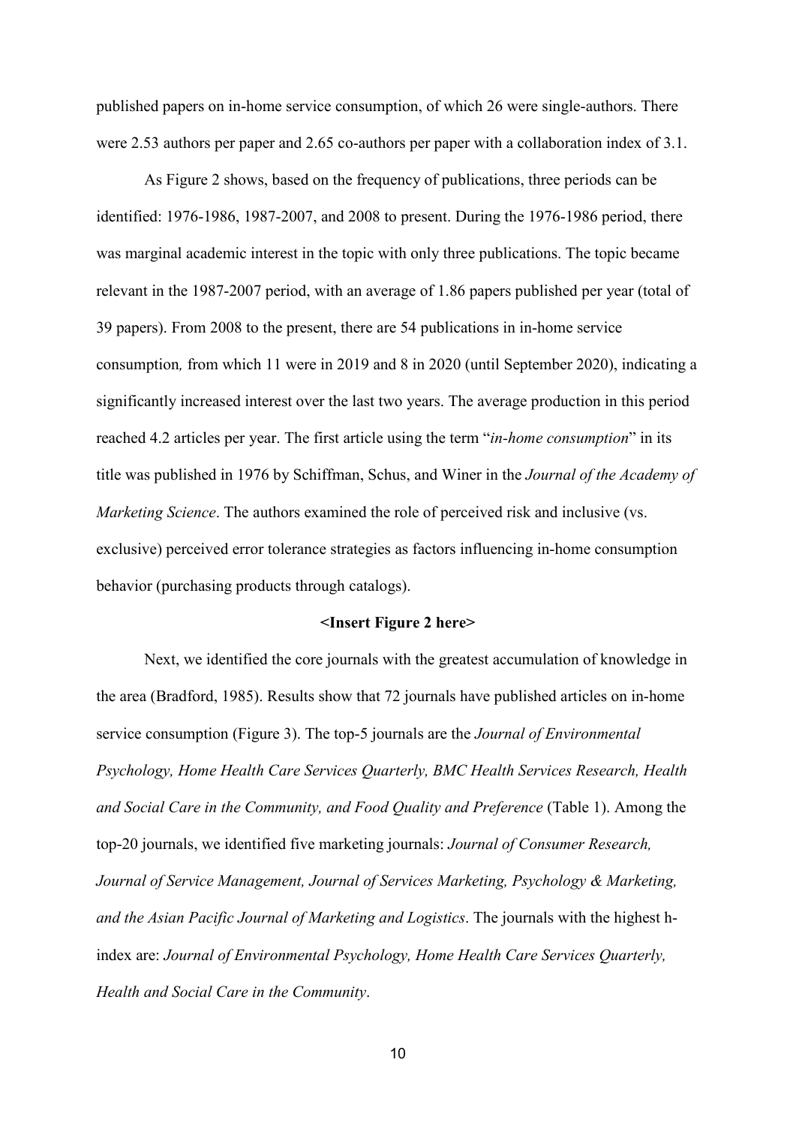published papers on in-home service consumption, of which 26 were single-authors. There were 2.53 authors per paper and 2.65 co-authors per paper with a collaboration index of 3.1.

As Figure 2 shows, based on the frequency of publications, three periods can be identified: 1976-1986, 1987-2007, and 2008 to present. During the 1976-1986 period, there was marginal academic interest in the topic with only three publications. The topic became relevant in the 1987-2007 period, with an average of 1.86 papers published per year (total of 39 papers). From 2008 to the present, there are 54 publications in in-home service consumption*,* from which 11 were in 2019 and 8 in 2020 (until September 2020), indicating a significantly increased interest over the last two years. The average production in this period reached 4.2 articles per year. The first article using the term "*in-home consumption*" in its title was published in 1976 by Schiffman, Schus, and Winer in the *Journal of the Academy of Marketing Science*. The authors examined the role of perceived risk and inclusive (vs. exclusive) perceived error tolerance strategies as factors influencing in-home consumption behavior (purchasing products through catalogs).

#### **<Insert Figure 2 here>**

Next, we identified the core journals with the greatest accumulation of knowledge in the area (Bradford, 1985). Results show that 72 journals have published articles on in-home service consumption (Figure 3). The top-5 journals are the *Journal of Environmental Psychology, Home Health Care Services Quarterly, BMC Health Services Research, Health and Social Care in the Community, and Food Quality and Preference* (Table 1). Among the top-20 journals, we identified five marketing journals: *Journal of Consumer Research, Journal of Service Management, Journal of Services Marketing, Psychology & Marketing, and the Asian Pacific Journal of Marketing and Logistics*. The journals with the highest hindex are: *Journal of Environmental Psychology, Home Health Care Services Quarterly, Health and Social Care in the Community*.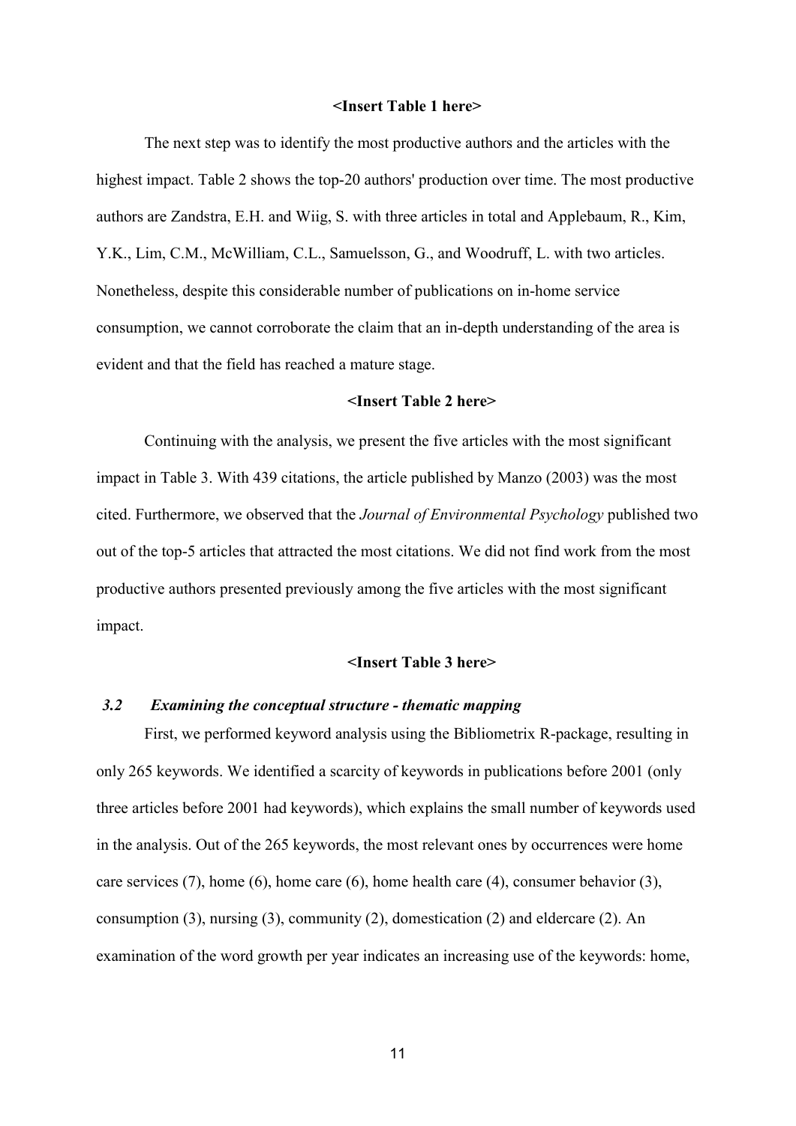#### **<Insert Table 1 here>**

The next step was to identify the most productive authors and the articles with the highest impact. Table 2 shows the top-20 authors' production over time. The most productive authors are Zandstra, E.H. and Wiig, S. with three articles in total and Applebaum, R., Kim, Y.K., Lim, C.M., McWilliam, C.L., Samuelsson, G., and Woodruff, L. with two articles. Nonetheless, despite this considerable number of publications on in-home service consumption, we cannot corroborate the claim that an in-depth understanding of the area is evident and that the field has reached a mature stage.

#### **<Insert Table 2 here>**

Continuing with the analysis, we present the five articles with the most significant impact in Table 3. With 439 citations, the article published by Manzo (2003) was the most cited. Furthermore, we observed that the *Journal of Environmental Psychology* published two out of the top-5 articles that attracted the most citations. We did not find work from the most productive authors presented previously among the five articles with the most significant impact.

#### **<Insert Table 3 here>**

#### *3.2 Examining the conceptual structure - thematic mapping*

First, we performed keyword analysis using the Bibliometrix R-package, resulting in only 265 keywords. We identified a scarcity of keywords in publications before 2001 (only three articles before 2001 had keywords), which explains the small number of keywords used in the analysis. Out of the 265 keywords, the most relevant ones by occurrences were home care services (7), home (6), home care (6), home health care (4), consumer behavior (3), consumption (3), nursing (3), community (2), domestication (2) and eldercare (2). An examination of the word growth per year indicates an increasing use of the keywords: home,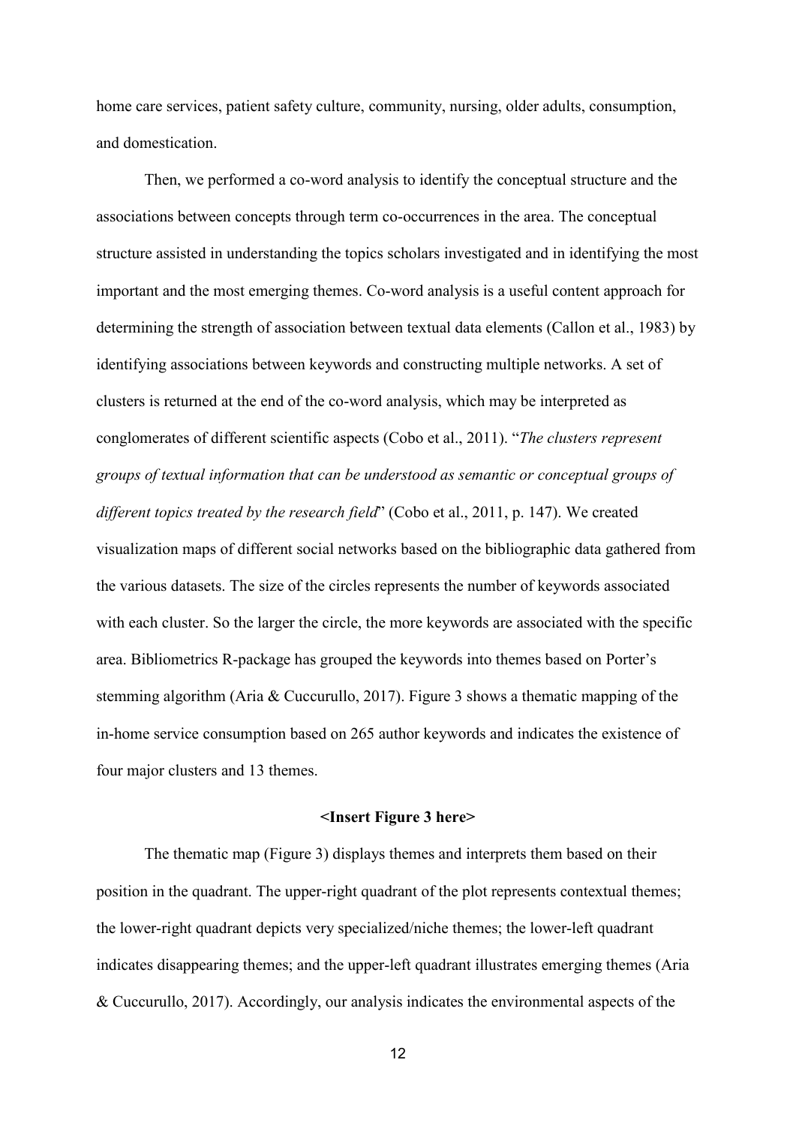home care services, patient safety culture, community, nursing, older adults, consumption, and domestication.

Then, we performed a co-word analysis to identify the conceptual structure and the associations between concepts through term co-occurrences in the area. The conceptual structure assisted in understanding the topics scholars investigated and in identifying the most important and the most emerging themes. Co-word analysis is a useful content approach for determining the strength of association between textual data elements (Callon et al., 1983) by identifying associations between keywords and constructing multiple networks. A set of clusters is returned at the end of the co-word analysis, which may be interpreted as conglomerates of different scientific aspects (Cobo et al., 2011). "*The clusters represent groups of textual information that can be understood as semantic or conceptual groups of different topics treated by the research field*" (Cobo et al., 2011, p. 147). We created visualization maps of different social networks based on the bibliographic data gathered from the various datasets. The size of the circles represents the number of keywords associated with each cluster. So the larger the circle, the more keywords are associated with the specific area. Bibliometrics R-package has grouped the keywords into themes based on Porter's stemming algorithm (Aria & Cuccurullo, 2017). Figure 3 shows a thematic mapping of the in-home service consumption based on 265 author keywords and indicates the existence of four major clusters and 13 themes.

#### **<Insert Figure 3 here>**

The thematic map (Figure 3) displays themes and interprets them based on their position in the quadrant. The upper-right quadrant of the plot represents contextual themes; the lower-right quadrant depicts very specialized/niche themes; the lower-left quadrant indicates disappearing themes; and the upper-left quadrant illustrates emerging themes (Aria & Cuccurullo, 2017). Accordingly, our analysis indicates the environmental aspects of the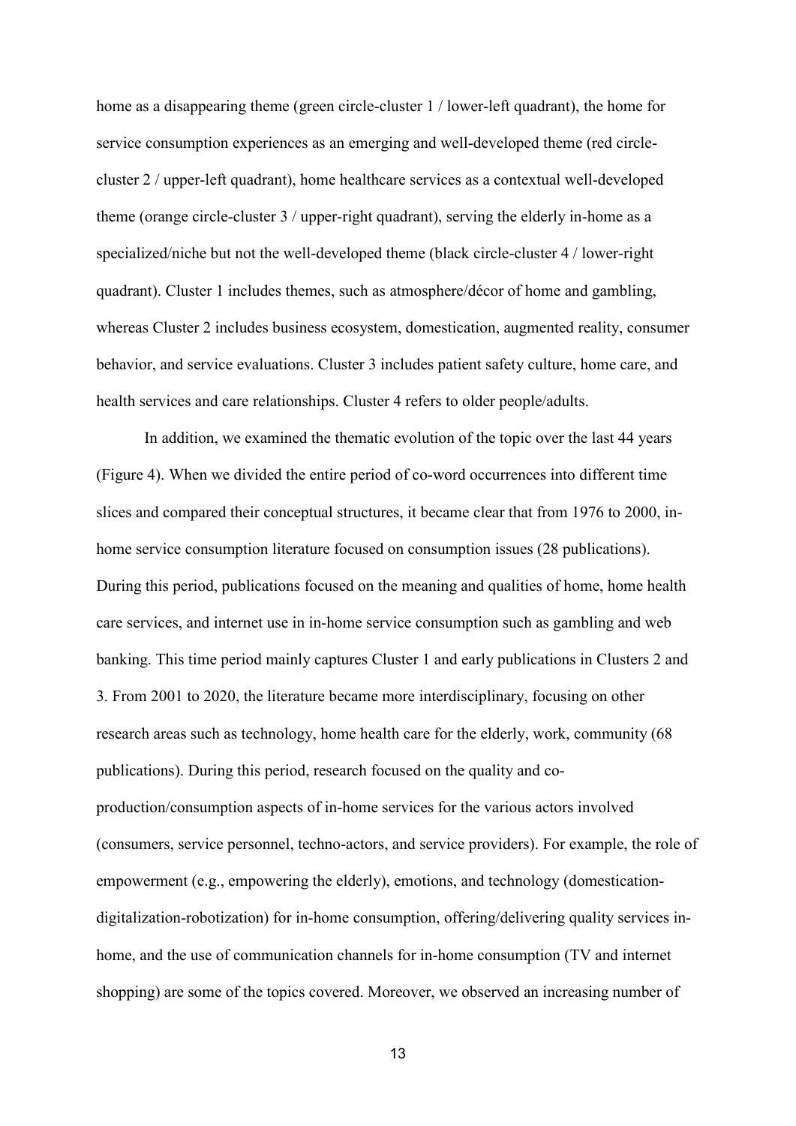home as a disappearing theme (green circle-cluster 1 / lower-left quadrant), the home for service consumption experiences as an emerging and well-developed theme (red circlecluster 2 / upper-left quadrant), home healthcare services as a contextual well-developed theme (orange circle-cluster 3 / upper-right quadrant), serving the elderly in-home as a specialized/niche but not the well-developed theme (black circle-cluster 4 / lower-right quadrant). Cluster 1 includes themes, such as atmosphere/décor of home and gambling, whereas Cluster 2 includes business ecosystem, domestication, augmented reality, consumer behavior, and service evaluations. Cluster 3 includes patient safety culture, home care, and health services and care relationships. Cluster 4 refers to older people/adults.

In addition, we examined the thematic evolution of the topic over the last 44 years (Figure 4). When we divided the entire period of co-word occurrences into different time slices and compared their conceptual structures, it became clear that from 1976 to 2000, inhome service consumption literature focused on consumption issues (28 publications). During this period, publications focused on the meaning and qualities of home, home health care services, and internet use in in-home service consumption such as gambling and web banking. This time period mainly captures Cluster 1 and early publications in Clusters 2 and 3. From 2001 to 2020, the literature became more interdisciplinary, focusing on other research areas such as technology, home health care for the elderly, work, community (68 publications). During this period, research focused on the quality and coproduction/consumption aspects of in-home services for the various actors involved (consumers, service personnel, techno-actors, and service providers). For example, the role of empowerment (e.g., empowering the elderly), emotions, and technology (domesticationdigitalization-robotization) for in-home consumption, offering/delivering quality services inhome, and the use of communication channels for in-home consumption (TV and internet shopping) are some of the topics covered. Moreover, we observed an increasing number of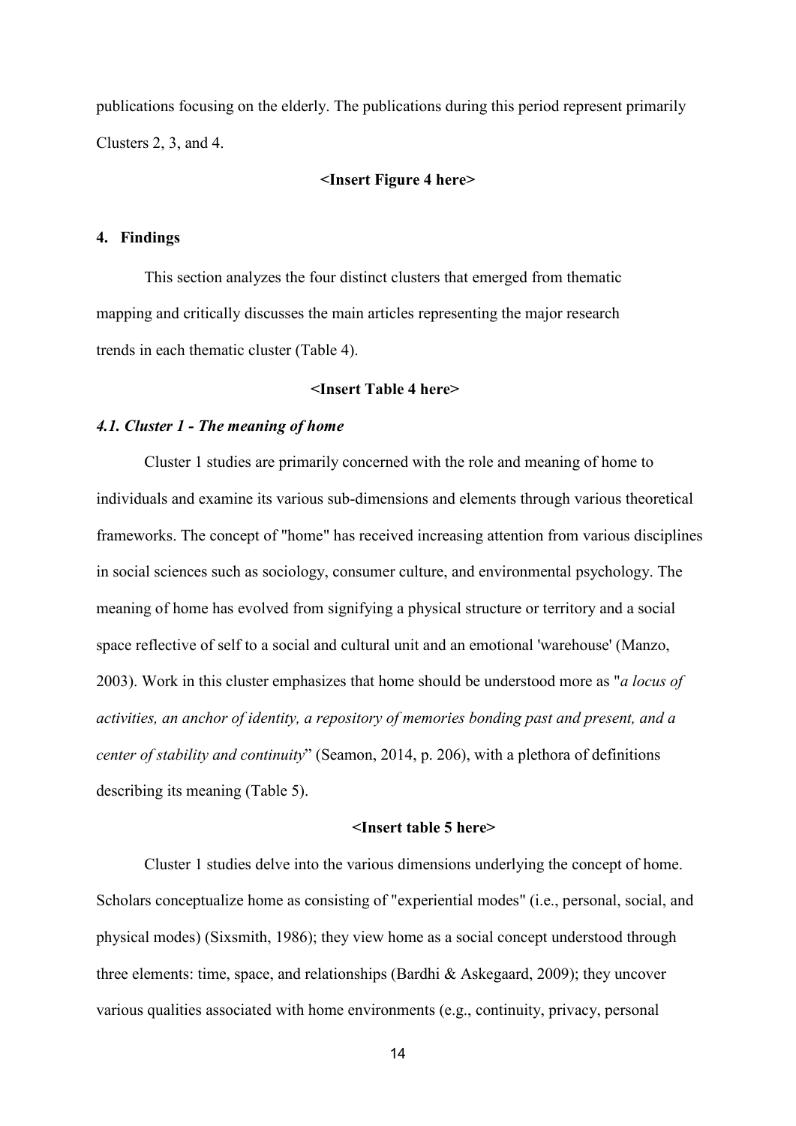publications focusing on the elderly. The publications during this period represent primarily Clusters 2, 3, and 4.

#### **<Insert Figure 4 here>**

#### **4. Findings**

This section analyzes the four distinct clusters that emerged from thematic mapping and critically discusses the main articles representing the major research trends in each thematic cluster (Table 4).

#### **<Insert Table 4 here>**

#### *4.1. Cluster 1 - The meaning of home*

Cluster 1 studies are primarily concerned with the role and meaning of home to individuals and examine its various sub-dimensions and elements through various theoretical frameworks. The concept of "home" has received increasing attention from various disciplines in social sciences such as sociology, consumer culture, and environmental psychology. The meaning of home has evolved from signifying a physical structure or territory and a social space reflective of self to a social and cultural unit and an emotional 'warehouse' (Manzo, 2003). Work in this cluster emphasizes that home should be understood more as "*a locus of activities, an anchor of identity, a repository of memories bonding past and present, and a center of stability and continuity*" (Seamon, 2014, p. 206), with a plethora of definitions describing its meaning (Table 5).

#### **<Insert table 5 here>**

Cluster 1 studies delve into the various dimensions underlying the concept of home. Scholars conceptualize home as consisting of "experiential modes" (i.e., personal, social, and physical modes) (Sixsmith, 1986); they view home as a social concept understood through three elements: time, space, and relationships (Bardhi & Askegaard, 2009); they uncover various qualities associated with home environments (e.g., continuity, privacy, personal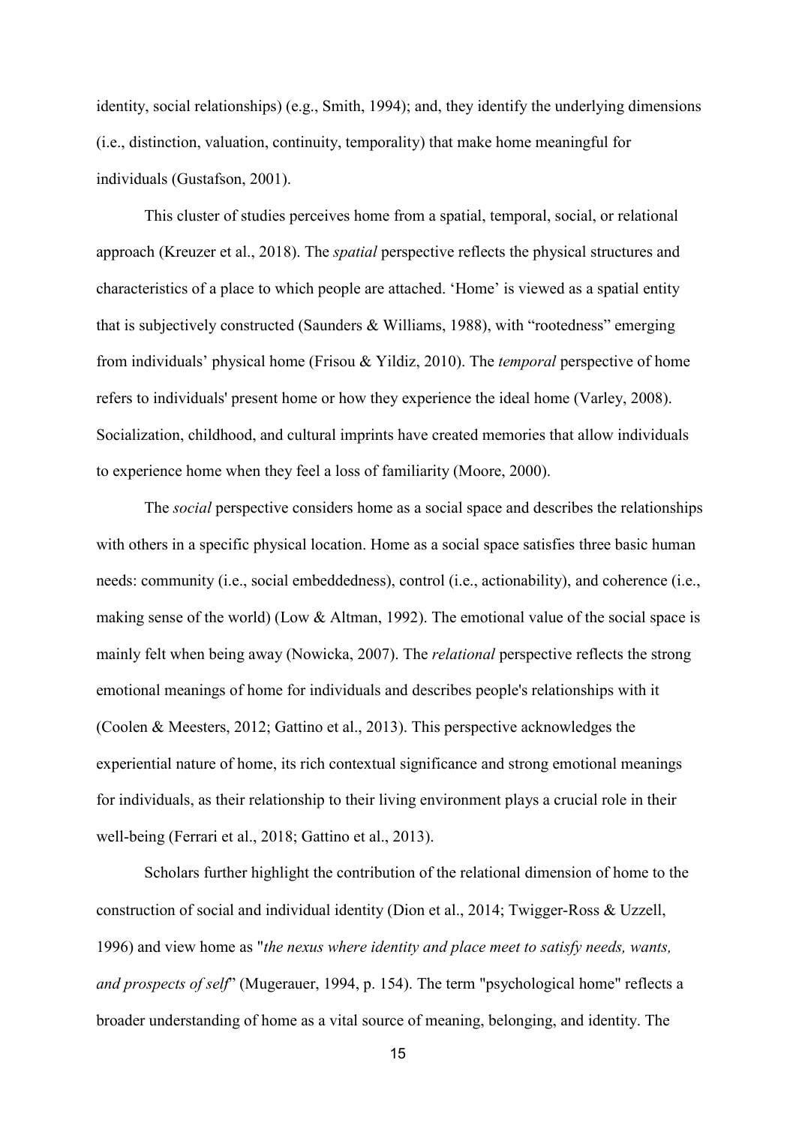identity, social relationships) (e.g., Smith, 1994); and, they identify the underlying dimensions (i.e., distinction, valuation, continuity, temporality) that make home meaningful for individuals (Gustafson, 2001).

This cluster of studies perceives home from a spatial, temporal, social, or relational approach (Kreuzer et al., 2018). The *spatial* perspective reflects the physical structures and characteristics of a place to which people are attached. 'Home' is viewed as a spatial entity that is subjectively constructed (Saunders & Williams, 1988), with "rootedness" emerging from individuals' physical home (Frisou & Yildiz, 2010). The *temporal* perspective of home refers to individuals' present home or how they experience the ideal home (Varley, 2008). Socialization, childhood, and cultural imprints have created memories that allow individuals to experience home when they feel a loss of familiarity (Moore, 2000).

The *social* perspective considers home as a social space and describes the relationships with others in a specific physical location. Home as a social space satisfies three basic human needs: community (i.e., social embeddedness), control (i.e., actionability), and coherence (i.e., making sense of the world) (Low & Altman, 1992). The emotional value of the social space is mainly felt when being away (Nowicka, 2007). The *relational* perspective reflects the strong emotional meanings of home for individuals and describes people's relationships with it (Coolen & Meesters, 2012; Gattino et al., 2013). This perspective acknowledges the experiential nature of home, its rich contextual significance and strong emotional meanings for individuals, as their relationship to their living environment plays a crucial role in their well-being (Ferrari et al., 2018; Gattino et al., 2013).

Scholars further highlight the contribution of the relational dimension of home to the construction of social and individual identity (Dion et al., 2014; Twigger-Ross & Uzzell, 1996) and view home as "*the nexus where identity and place meet to satisfy needs, wants, and prospects of self*" (Mugerauer, 1994, p. 154). The term "psychological home" reflects a broader understanding of home as a vital source of meaning, belonging, and identity. The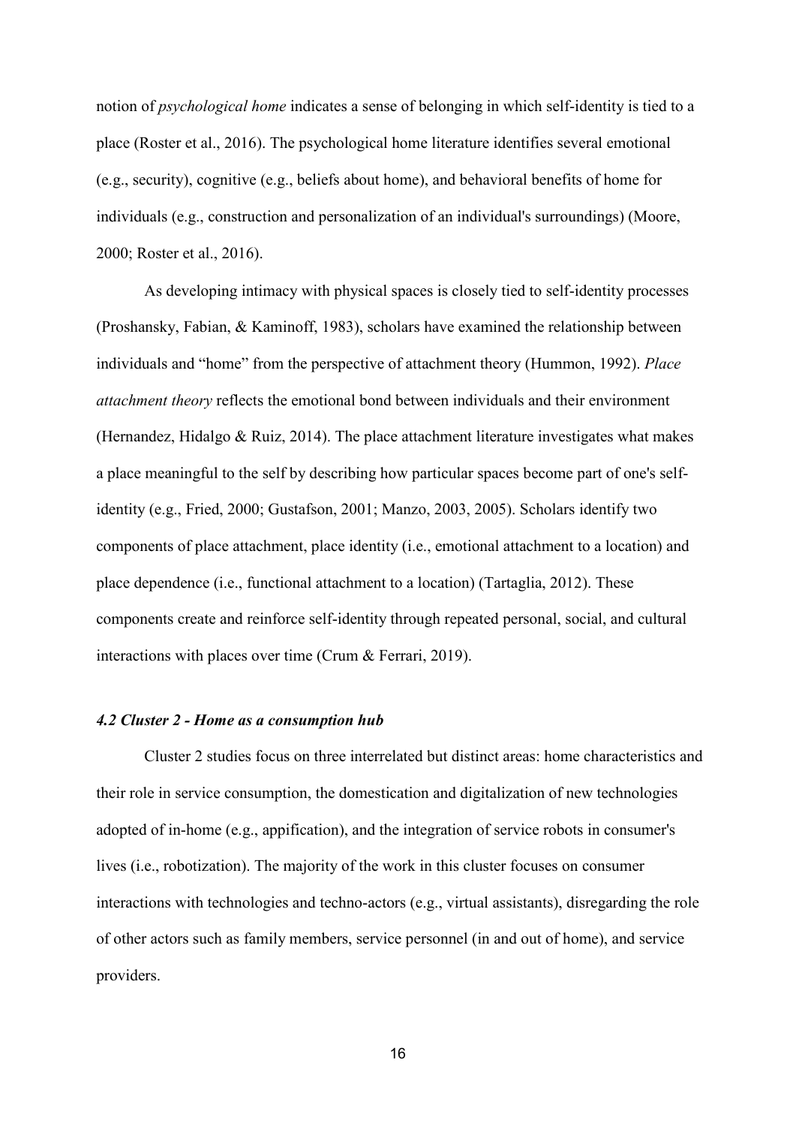notion of *psychological home* indicates a sense of belonging in which self-identity is tied to a place (Roster et al., 2016). The psychological home literature identifies several emotional (e.g., security), cognitive (e.g., beliefs about home), and behavioral benefits of home for individuals (e.g., construction and personalization of an individual's surroundings) (Moore, 2000; Roster et al., 2016).

As developing intimacy with physical spaces is closely tied to self-identity processes (Proshansky, Fabian, & Kaminoff, 1983), scholars have examined the relationship between individuals and "home" from the perspective of attachment theory (Hummon, 1992). *Place attachment theory* reflects the emotional bond between individuals and their environment (Hernandez, Hidalgo & Ruiz, 2014). The place attachment literature investigates what makes a place meaningful to the self by describing how particular spaces become part of one's selfidentity (e.g., Fried, 2000; Gustafson, 2001; Manzo, 2003, 2005). Scholars identify two components of place attachment, place identity (i.e., emotional attachment to a location) and place dependence (i.e., functional attachment to a location) (Tartaglia, 2012). These components create and reinforce self-identity through repeated personal, social, and cultural interactions with places over time (Crum & Ferrari, 2019).

#### *4.2 Cluster 2 - Home as a consumption hub*

Cluster 2 studies focus on three interrelated but distinct areas: home characteristics and their role in service consumption, the domestication and digitalization of new technologies adopted of in-home (e.g., appification), and the integration of service robots in consumer's lives (i.e., robotization). The majority of the work in this cluster focuses on consumer interactions with technologies and techno-actors (e.g., virtual assistants), disregarding the role of other actors such as family members, service personnel (in and out of home), and service providers.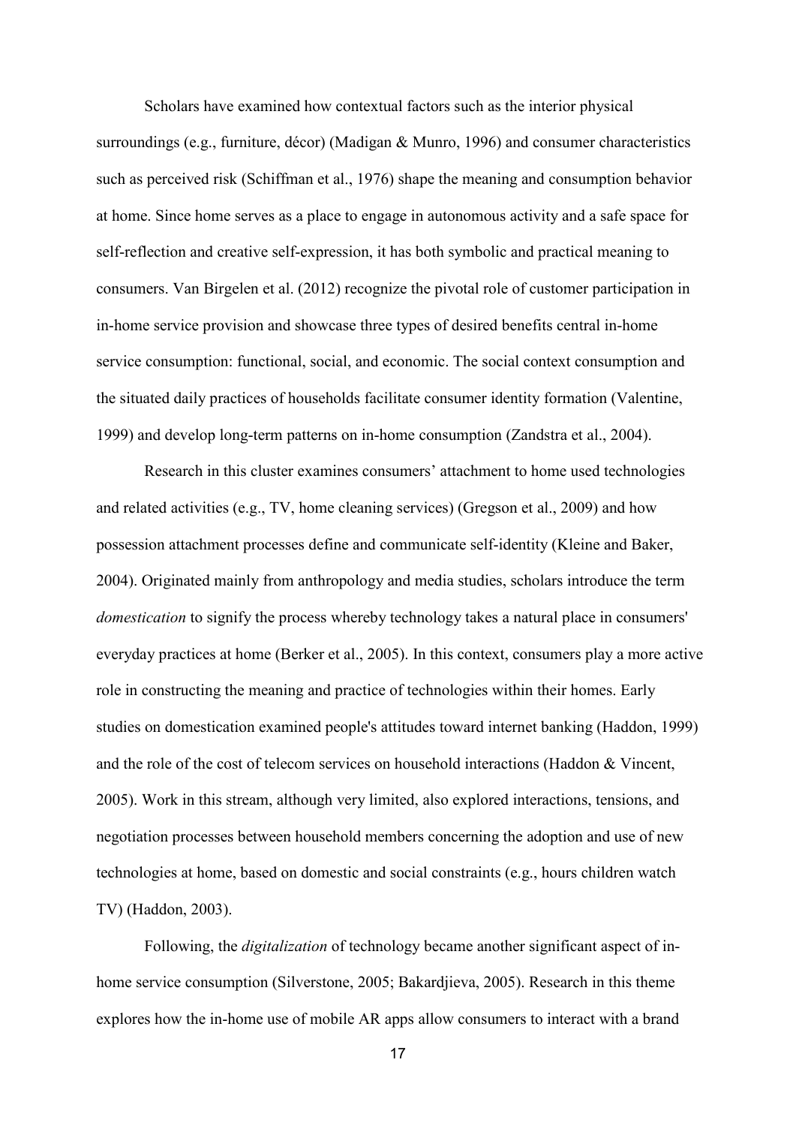Scholars have examined how contextual factors such as the interior physical surroundings (e.g., furniture, décor) (Madigan & Munro, 1996) and consumer characteristics such as perceived risk (Schiffman et al., 1976) shape the meaning and consumption behavior at home. Since home serves as a place to engage in autonomous activity and a safe space for self-reflection and creative self-expression, it has both symbolic and practical meaning to consumers. Van Birgelen et al. (2012) recognize the pivotal role of customer participation in in-home service provision and showcase three types of desired benefits central in-home service consumption: functional, social, and economic. The social context consumption and the situated daily practices of households facilitate consumer identity formation (Valentine, 1999) and develop long-term patterns on in-home consumption (Zandstra et al., 2004).

Research in this cluster examines consumers' attachment to home used technologies and related activities (e.g., TV, home cleaning services) (Gregson et al., 2009) and how possession attachment processes define and communicate self-identity (Kleine and Baker, 2004). Originated mainly from anthropology and media studies, scholars introduce the term *domestication* to signify the process whereby technology takes a natural place in consumers' everyday practices at home (Berker et al., 2005). In this context, consumers play a more active role in constructing the meaning and practice of technologies within their homes. Early studies on domestication examined people's attitudes toward internet banking (Haddon, 1999) and the role of the cost of telecom services on household interactions (Haddon & Vincent, 2005). Work in this stream, although very limited, also explored interactions, tensions, and negotiation processes between household members concerning the adoption and use of new technologies at home, based on domestic and social constraints (e.g., hours children watch TV) (Haddon, 2003).

Following, the *digitalization* of technology became another significant aspect of inhome service consumption (Silverstone, 2005; Bakardjieva, 2005). Research in this theme explores how the in-home use of mobile AR apps allow consumers to interact with a brand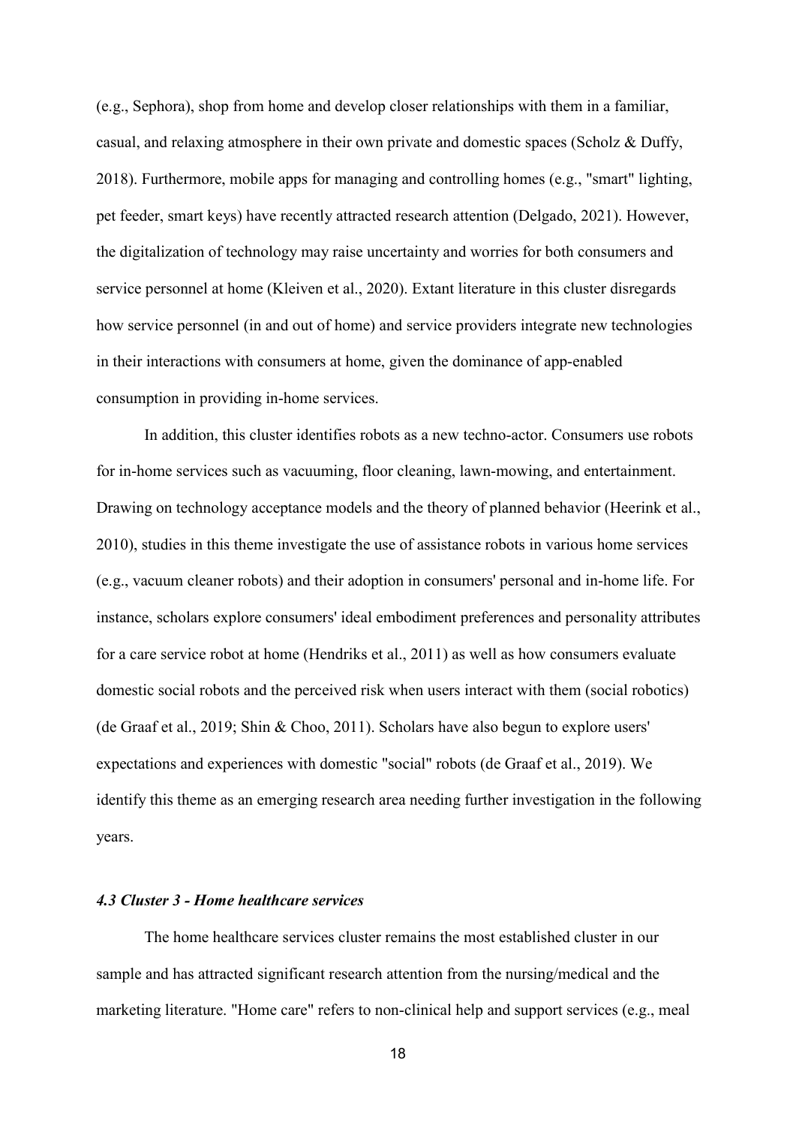(e.g., Sephora), shop from home and develop closer relationships with them in a familiar, casual, and relaxing atmosphere in their own private and domestic spaces (Scholz & Duffy, 2018). Furthermore, mobile apps for managing and controlling homes (e.g., "smart" lighting, pet feeder, smart keys) have recently attracted research attention (Delgado, 2021). However, the digitalization of technology may raise uncertainty and worries for both consumers and service personnel at home (Kleiven et al., 2020). Extant literature in this cluster disregards how service personnel (in and out of home) and service providers integrate new technologies in their interactions with consumers at home, given the dominance of app-enabled consumption in providing in-home services.

In addition, this cluster identifies robots as a new techno-actor. Consumers use robots for in-home services such as vacuuming, floor cleaning, lawn-mowing, and entertainment. Drawing on technology acceptance models and the theory of planned behavior (Heerink et al., 2010), studies in this theme investigate the use of assistance robots in various home services (e.g., vacuum cleaner robots) and their adoption in consumers' personal and in-home life. For instance, scholars explore consumers' ideal embodiment preferences and personality attributes for a care service robot at home (Hendriks et al., 2011) as well as how consumers evaluate domestic social robots and the perceived risk when users interact with them (social robotics) (de Graaf et al., 2019; Shin & Choo, 2011). Scholars have also begun to explore users' expectations and experiences with domestic "social" robots (de Graaf et al., 2019). We identify this theme as an emerging research area needing further investigation in the following years.

#### *4.3 Cluster 3 - Home healthcare services*

The home healthcare services cluster remains the most established cluster in our sample and has attracted significant research attention from the nursing/medical and the marketing literature. "Home care" refers to non-clinical help and support services (e.g., meal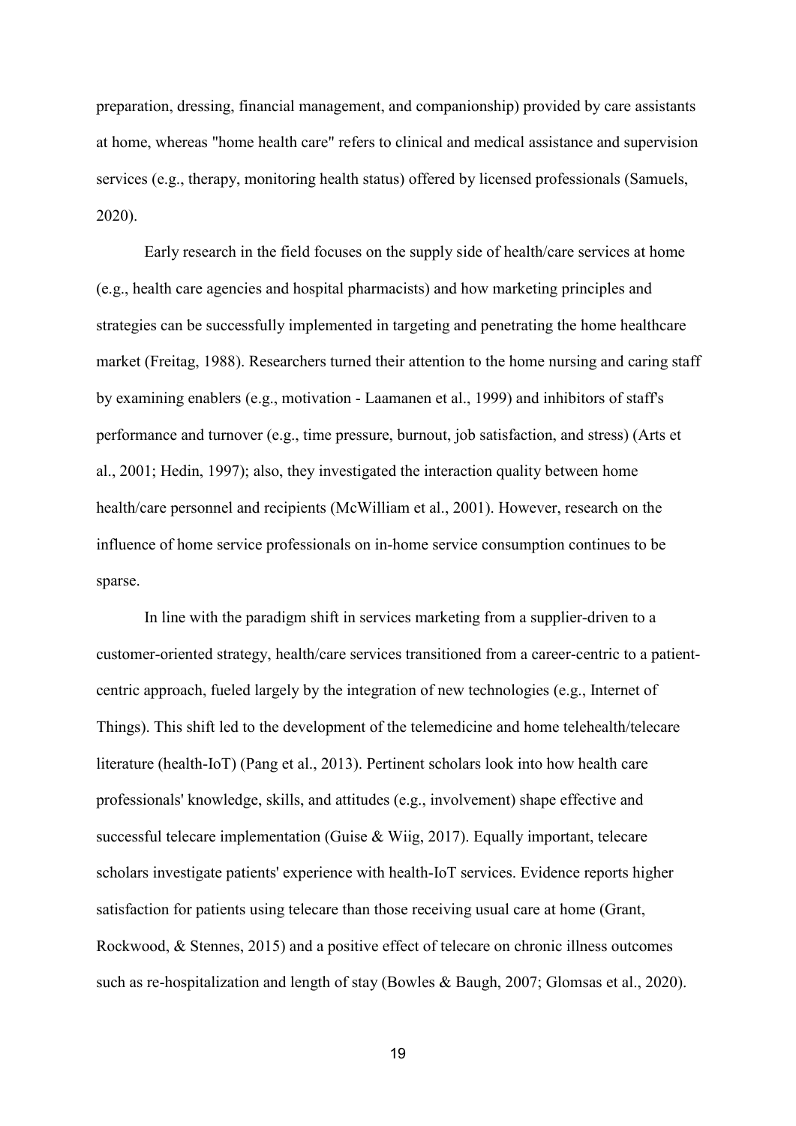preparation, dressing, financial management, and companionship) provided by care assistants at home, whereas "home health care" refers to clinical and medical assistance and supervision services (e.g., therapy, monitoring health status) offered by licensed professionals (Samuels, 2020).

Early research in the field focuses on the supply side of health/care services at home (e.g., health care agencies and hospital pharmacists) and how marketing principles and strategies can be successfully implemented in targeting and penetrating the home healthcare market (Freitag, 1988). Researchers turned their attention to the home nursing and caring staff by examining enablers (e.g., motivation - Laamanen et al., 1999) and inhibitors of staff's performance and turnover (e.g., time pressure, burnout, job satisfaction, and stress) (Arts et al., 2001; Hedin, 1997); also, they investigated the interaction quality between home health/care personnel and recipients (McWilliam et al., 2001). However, research on the influence of home service professionals on in-home service consumption continues to be sparse.

In line with the paradigm shift in services marketing from a supplier-driven to a customer-oriented strategy, health/care services transitioned from a career-centric to a patientcentric approach, fueled largely by the integration of new technologies (e.g., Internet of Things). This shift led to the development of the telemedicine and home telehealth/telecare literature (health-IoT) (Pang et al., 2013). Pertinent scholars look into how health care professionals' knowledge, skills, and attitudes (e.g., involvement) shape effective and successful telecare implementation (Guise & Wiig, 2017). Equally important, telecare scholars investigate patients' experience with health-IoT services. Evidence reports higher satisfaction for patients using telecare than those receiving usual care at home (Grant, Rockwood, & Stennes, 2015) and a positive effect of telecare on chronic illness outcomes such as re-hospitalization and length of stay (Bowles & Baugh, 2007; Glomsas et al., 2020).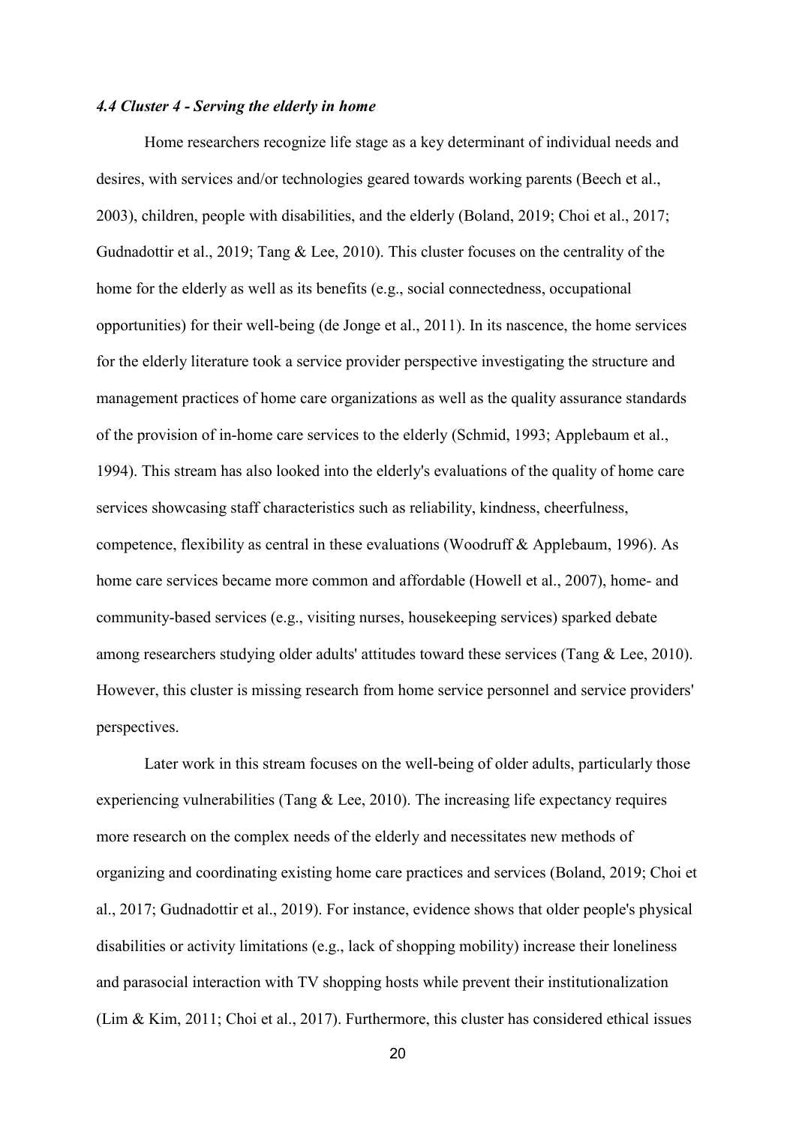#### *4.4 Cluster 4 - Serving the elderly in home*

Home researchers recognize life stage as a key determinant of individual needs and desires, with services and/or technologies geared towards working parents (Beech et al., 2003), children, people with disabilities, and the elderly (Boland, 2019; Choi et al., 2017; Gudnadottir et al., 2019; Tang & Lee, 2010). This cluster focuses on the centrality of the home for the elderly as well as its benefits (e.g., social connectedness, occupational opportunities) for their well-being (de Jonge et al., 2011). In its nascence, the home services for the elderly literature took a service provider perspective investigating the structure and management practices of home care organizations as well as the quality assurance standards of the provision of in-home care services to the elderly (Schmid, 1993; Applebaum et al., 1994). This stream has also looked into the elderly's evaluations of the quality of home care services showcasing staff characteristics such as reliability, kindness, cheerfulness, competence, flexibility as central in these evaluations (Woodruff & Applebaum, 1996). As home care services became more common and affordable (Howell et al., 2007), home- and community-based services (e.g., visiting nurses, housekeeping services) sparked debate among researchers studying older adults' attitudes toward these services (Tang & Lee, 2010). However, this cluster is missing research from home service personnel and service providers' perspectives.

Later work in this stream focuses on the well-being of older adults, particularly those experiencing vulnerabilities (Tang & Lee, 2010). The increasing life expectancy requires more research on the complex needs of the elderly and necessitates new methods of organizing and coordinating existing home care practices and services (Boland, 2019; Choi et al., 2017; Gudnadottir et al., 2019). For instance, evidence shows that older people's physical disabilities or activity limitations (e.g., lack of shopping mobility) increase their loneliness and parasocial interaction with TV shopping hosts while prevent their institutionalization (Lim & Kim, 2011; Choi et al., 2017). Furthermore, this cluster has considered ethical issues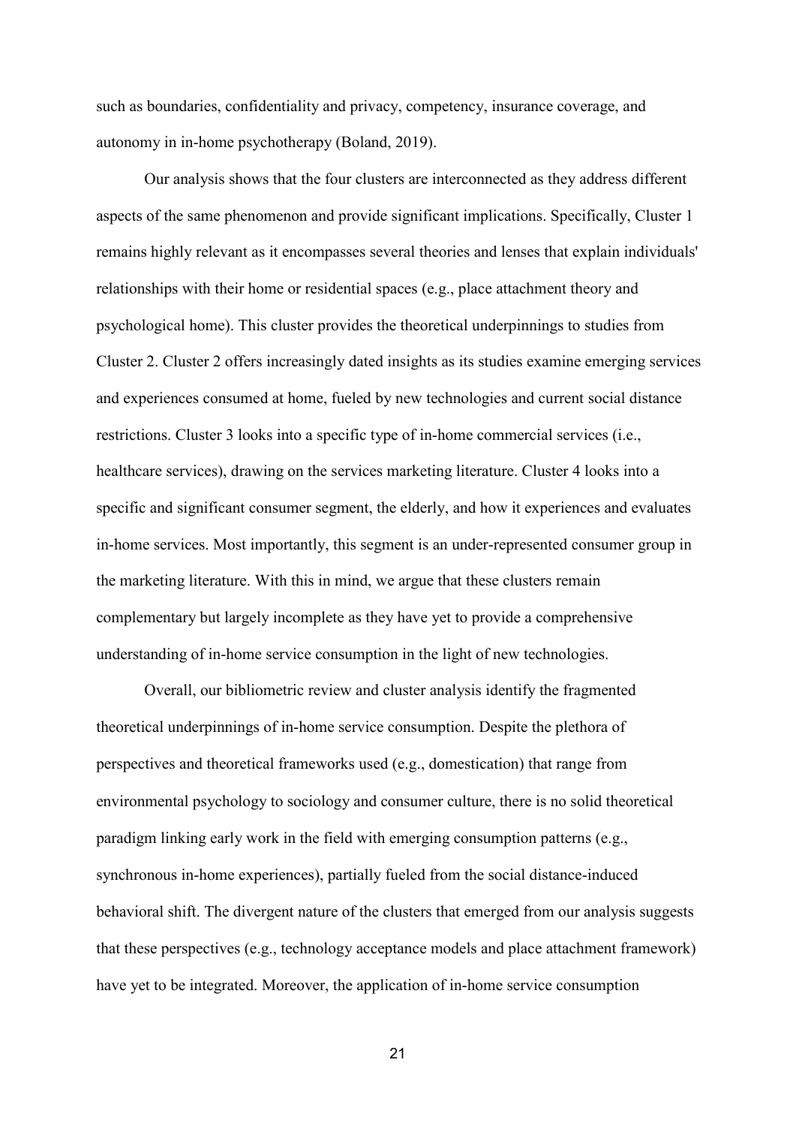such as boundaries, confidentiality and privacy, competency, insurance coverage, and autonomy in in-home psychotherapy (Boland, 2019).

Our analysis shows that the four clusters are interconnected as they address different aspects of the same phenomenon and provide significant implications. Specifically, Cluster 1 remains highly relevant as it encompasses several theories and lenses that explain individuals' relationships with their home or residential spaces (e.g., place attachment theory and psychological home). This cluster provides the theoretical underpinnings to studies from Cluster 2. Cluster 2 offers increasingly dated insights as its studies examine emerging services and experiences consumed at home, fueled by new technologies and current social distance restrictions. Cluster 3 looks into a specific type of in-home commercial services (i.e., healthcare services), drawing on the services marketing literature. Cluster 4 looks into a specific and significant consumer segment, the elderly, and how it experiences and evaluates in-home services. Most importantly, this segment is an under-represented consumer group in the marketing literature. With this in mind, we argue that these clusters remain complementary but largely incomplete as they have yet to provide a comprehensive understanding of in-home service consumption in the light of new technologies.

Overall, our bibliometric review and cluster analysis identify the fragmented theoretical underpinnings of in-home service consumption. Despite the plethora of perspectives and theoretical frameworks used (e.g., domestication) that range from environmental psychology to sociology and consumer culture, there is no solid theoretical paradigm linking early work in the field with emerging consumption patterns (e.g., synchronous in-home experiences), partially fueled from the social distance-induced behavioral shift. The divergent nature of the clusters that emerged from our analysis suggests that these perspectives (e.g., technology acceptance models and place attachment framework) have yet to be integrated. Moreover, the application of in-home service consumption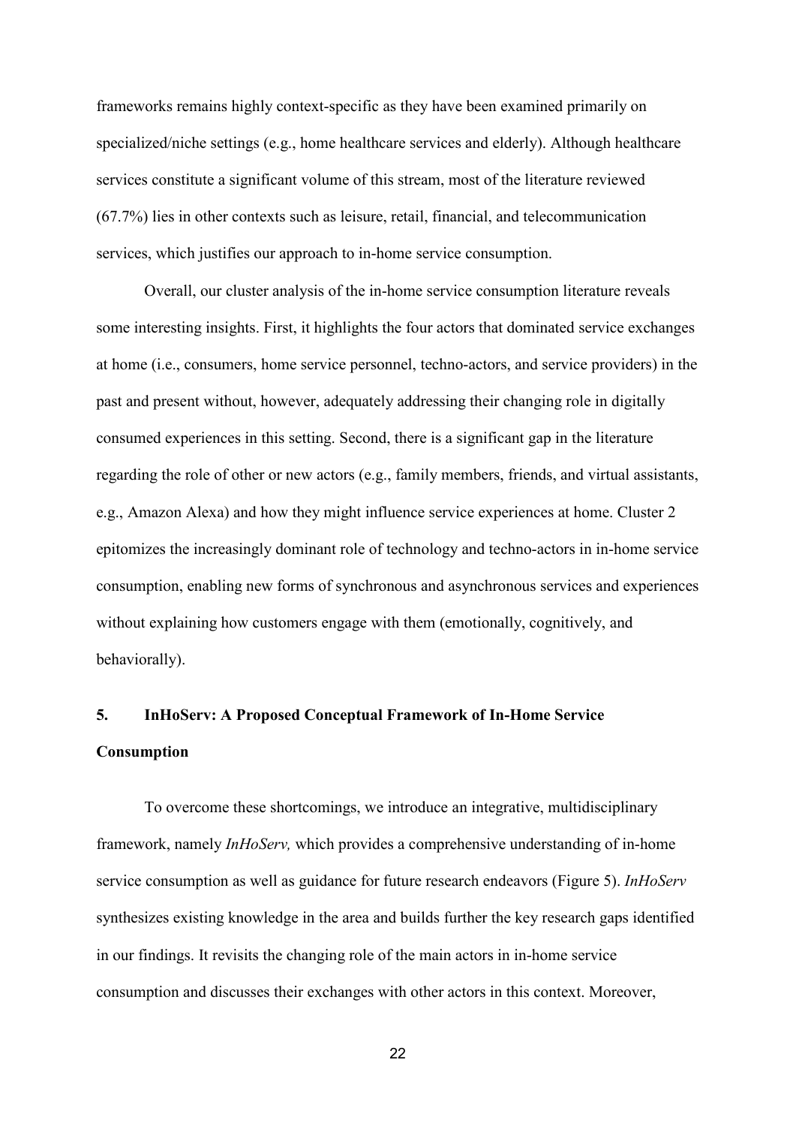frameworks remains highly context-specific as they have been examined primarily on specialized/niche settings (e.g., home healthcare services and elderly). Although healthcare services constitute a significant volume of this stream, most of the literature reviewed (67.7%) lies in other contexts such as leisure, retail, financial, and telecommunication services, which justifies our approach to in-home service consumption.

Overall, our cluster analysis of the in-home service consumption literature reveals some interesting insights. First, it highlights the four actors that dominated service exchanges at home (i.e., consumers, home service personnel, techno-actors, and service providers) in the past and present without, however, adequately addressing their changing role in digitally consumed experiences in this setting. Second, there is a significant gap in the literature regarding the role of other or new actors (e.g., family members, friends, and virtual assistants, e.g., Amazon Alexa) and how they might influence service experiences at home. Cluster 2 epitomizes the increasingly dominant role of technology and techno-actors in in-home service consumption, enabling new forms of synchronous and asynchronous services and experiences without explaining how customers engage with them (emotionally, cognitively, and behaviorally).

## **5. InHoServ: A Proposed Conceptual Framework of In-Home Service Consumption**

To overcome these shortcomings, we introduce an integrative, multidisciplinary framework, namely *InHoServ,* which provides a comprehensive understanding of in-home service consumption as well as guidance for future research endeavors (Figure 5). *InHoServ* synthesizes existing knowledge in the area and builds further the key research gaps identified in our findings. It revisits the changing role of the main actors in in-home service consumption and discusses their exchanges with other actors in this context. Moreover,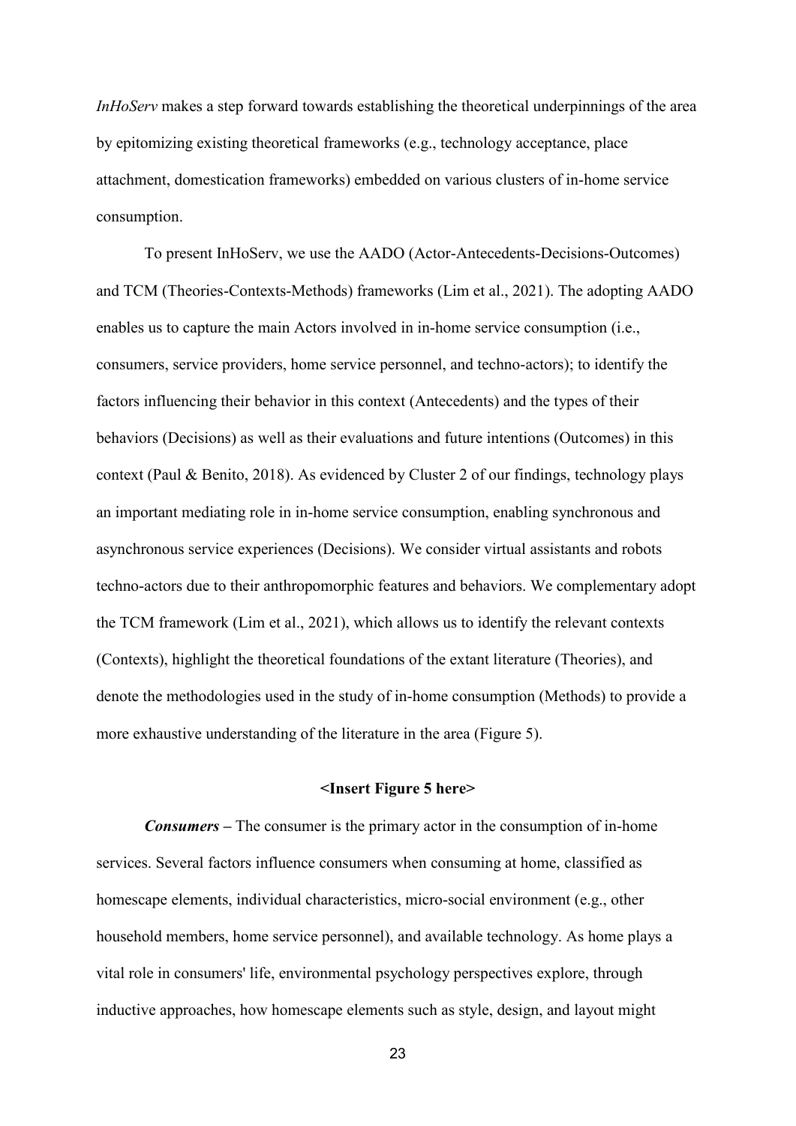*InHoServ* makes a step forward towards establishing the theoretical underpinnings of the area by epitomizing existing theoretical frameworks (e.g., technology acceptance, place attachment, domestication frameworks) embedded on various clusters of in-home service consumption.

To present InHoServ, we use the AADO (Actor-Antecedents-Decisions-Outcomes) and TCM (Theories-Contexts-Methods) frameworks (Lim et al., 2021). The adopting AADO enables us to capture the main Actors involved in in-home service consumption (i.e., consumers, service providers, home service personnel, and techno-actors); to identify the factors influencing their behavior in this context (Antecedents) and the types of their behaviors (Decisions) as well as their evaluations and future intentions (Outcomes) in this context (Paul & Benito, 2018). As evidenced by Cluster 2 of our findings, technology plays an important mediating role in in-home service consumption, enabling synchronous and asynchronous service experiences (Decisions). We consider virtual assistants and robots techno-actors due to their anthropomorphic features and behaviors. We complementary adopt the TCM framework (Lim et al., 2021), which allows us to identify the relevant contexts (Contexts), highlight the theoretical foundations of the extant literature (Theories), and denote the methodologies used in the study of in-home consumption (Methods) to provide a more exhaustive understanding of the literature in the area (Figure 5).

#### **<Insert Figure 5 here>**

*Consumers –* The consumer is the primary actor in the consumption of in-home services. Several factors influence consumers when consuming at home, classified as homescape elements, individual characteristics, micro-social environment (e.g., other household members, home service personnel), and available technology. As home plays a vital role in consumers' life, environmental psychology perspectives explore, through inductive approaches, how homescape elements such as style, design, and layout might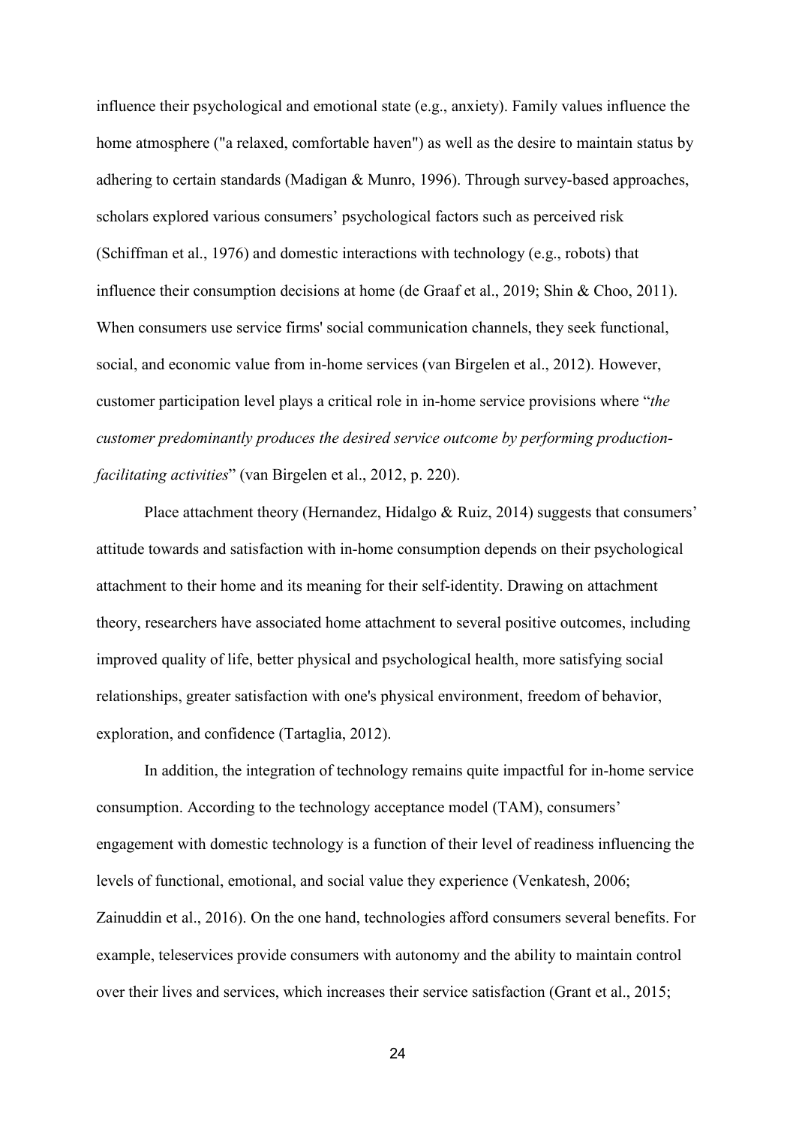influence their psychological and emotional state (e.g., anxiety). Family values influence the home atmosphere ("a relaxed, comfortable haven") as well as the desire to maintain status by adhering to certain standards (Madigan & Munro, 1996). Through survey-based approaches, scholars explored various consumers' psychological factors such as perceived risk (Schiffman et al., 1976) and domestic interactions with technology (e.g., robots) that influence their consumption decisions at home (de Graaf et al., 2019; Shin & Choo, 2011). When consumers use service firms' social communication channels, they seek functional, social, and economic value from in-home services (van Birgelen et al., 2012). However, customer participation level plays a critical role in in-home service provisions where "*the customer predominantly produces the desired service outcome by performing productionfacilitating activities*" (van Birgelen et al., 2012, p. 220).

Place attachment theory (Hernandez, Hidalgo & Ruiz, 2014) suggests that consumers' attitude towards and satisfaction with in-home consumption depends on their psychological attachment to their home and its meaning for their self-identity. Drawing on attachment theory, researchers have associated home attachment to several positive outcomes, including improved quality of life, better physical and psychological health, more satisfying social relationships, greater satisfaction with one's physical environment, freedom of behavior, exploration, and confidence (Tartaglia, 2012).

In addition, the integration of technology remains quite impactful for in-home service consumption. According to the technology acceptance model (TAM), consumers' engagement with domestic technology is a function of their level of readiness influencing the levels of functional, emotional, and social value they experience (Venkatesh, 2006; Zainuddin et al., 2016). On the one hand, technologies afford consumers several benefits. For example, teleservices provide consumers with autonomy and the ability to maintain control over their lives and services, which increases their service satisfaction (Grant et al., 2015;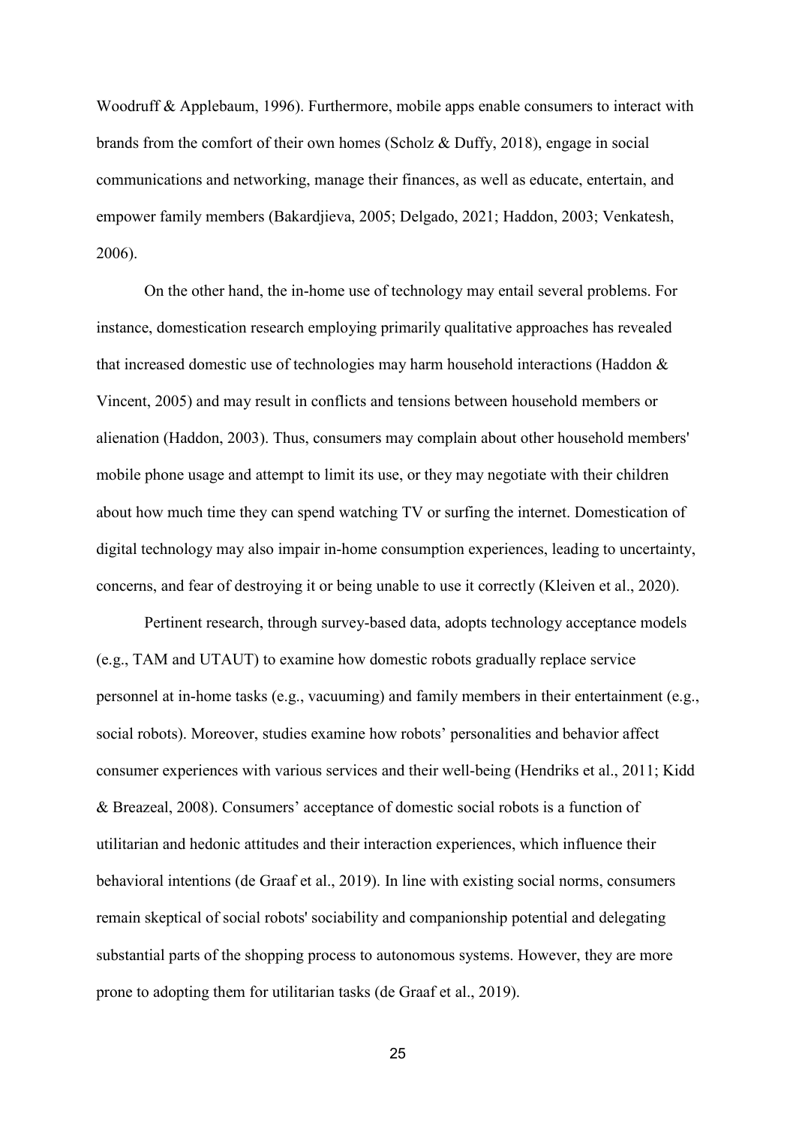Woodruff & Applebaum, 1996). Furthermore, mobile apps enable consumers to interact with brands from the comfort of their own homes (Scholz & Duffy, 2018), engage in social communications and networking, manage their finances, as well as educate, entertain, and empower family members (Bakardjieva, 2005; Delgado, 2021; Haddon, 2003; Venkatesh, 2006).

On the other hand, the in-home use of technology may entail several problems. For instance, domestication research employing primarily qualitative approaches has revealed that increased domestic use of technologies may harm household interactions (Haddon & Vincent, 2005) and may result in conflicts and tensions between household members or alienation (Haddon, 2003). Thus, consumers may complain about other household members' mobile phone usage and attempt to limit its use, or they may negotiate with their children about how much time they can spend watching TV or surfing the internet. Domestication of digital technology may also impair in-home consumption experiences, leading to uncertainty, concerns, and fear of destroying it or being unable to use it correctly (Kleiven et al., 2020).

Pertinent research, through survey-based data, adopts technology acceptance models (e.g., TAM and UTAUT) to examine how domestic robots gradually replace service personnel at in-home tasks (e.g., vacuuming) and family members in their entertainment (e.g., social robots). Moreover, studies examine how robots' personalities and behavior affect consumer experiences with various services and their well-being (Hendriks et al., 2011; Kidd & Breazeal, 2008). Consumers' acceptance of domestic social robots is a function of utilitarian and hedonic attitudes and their interaction experiences, which influence their behavioral intentions (de Graaf et al., 2019). In line with existing social norms, consumers remain skeptical of social robots' sociability and companionship potential and delegating substantial parts of the shopping process to autonomous systems. However, they are more prone to adopting them for utilitarian tasks (de Graaf et al., 2019).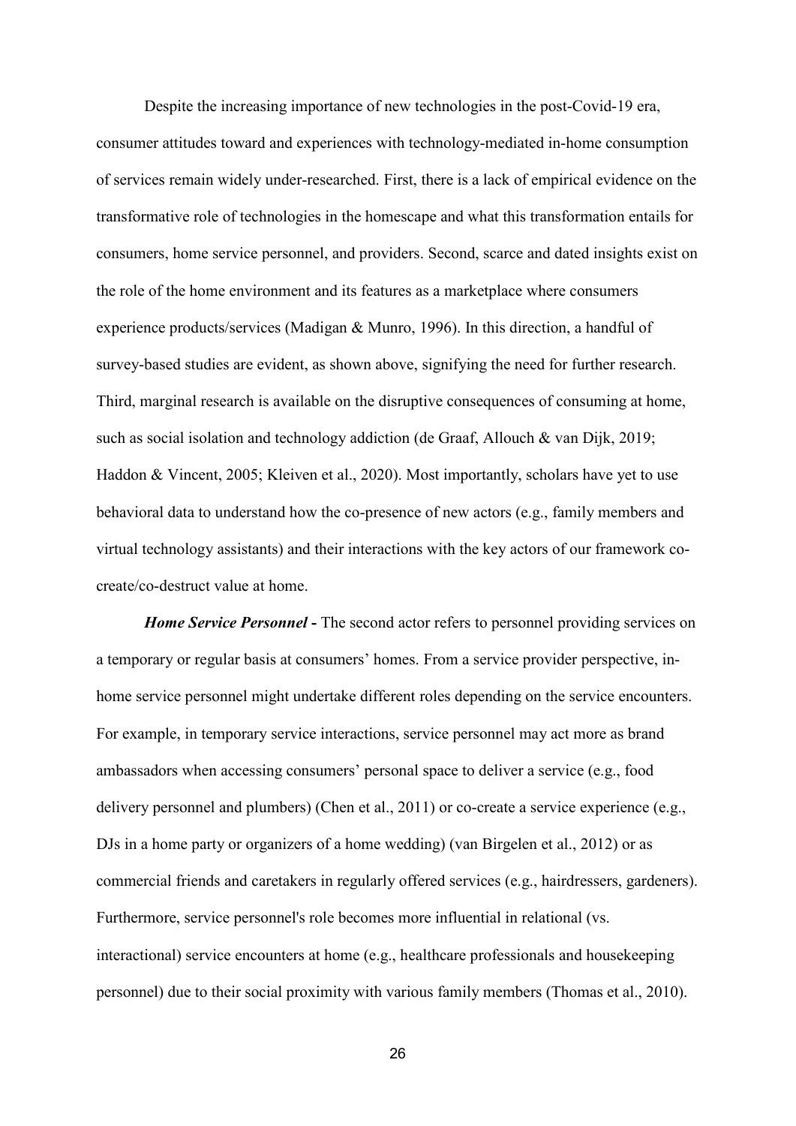Despite the increasing importance of new technologies in the post-Covid-19 era, consumer attitudes toward and experiences with technology-mediated in-home consumption of services remain widely under-researched. First, there is a lack of empirical evidence on the transformative role of technologies in the homescape and what this transformation entails for consumers, home service personnel, and providers. Second, scarce and dated insights exist on the role of the home environment and its features as a marketplace where consumers experience products/services (Madigan & Munro, 1996). In this direction, a handful of survey-based studies are evident, as shown above, signifying the need for further research. Third, marginal research is available on the disruptive consequences of consuming at home, such as social isolation and technology addiction (de Graaf, Allouch & van Dijk, 2019; Haddon & Vincent, 2005; Kleiven et al., 2020). Most importantly, scholars have yet to use behavioral data to understand how the co-presence of new actors (e.g., family members and virtual technology assistants) and their interactions with the key actors of our framework cocreate/co-destruct value at home.

*Home Service Personnel* **-** The second actor refers to personnel providing services on a temporary or regular basis at consumers' homes. From a service provider perspective, inhome service personnel might undertake different roles depending on the service encounters. For example, in temporary service interactions, service personnel may act more as brand ambassadors when accessing consumers' personal space to deliver a service (e.g., food delivery personnel and plumbers) (Chen et al., 2011) or co-create a service experience (e.g., DJs in a home party or organizers of a home wedding) (van Birgelen et al., 2012) or as commercial friends and caretakers in regularly offered services (e.g., hairdressers, gardeners). Furthermore, service personnel's role becomes more influential in relational (vs. interactional) service encounters at home (e.g., healthcare professionals and housekeeping personnel) due to their social proximity with various family members (Thomas et al., 2010).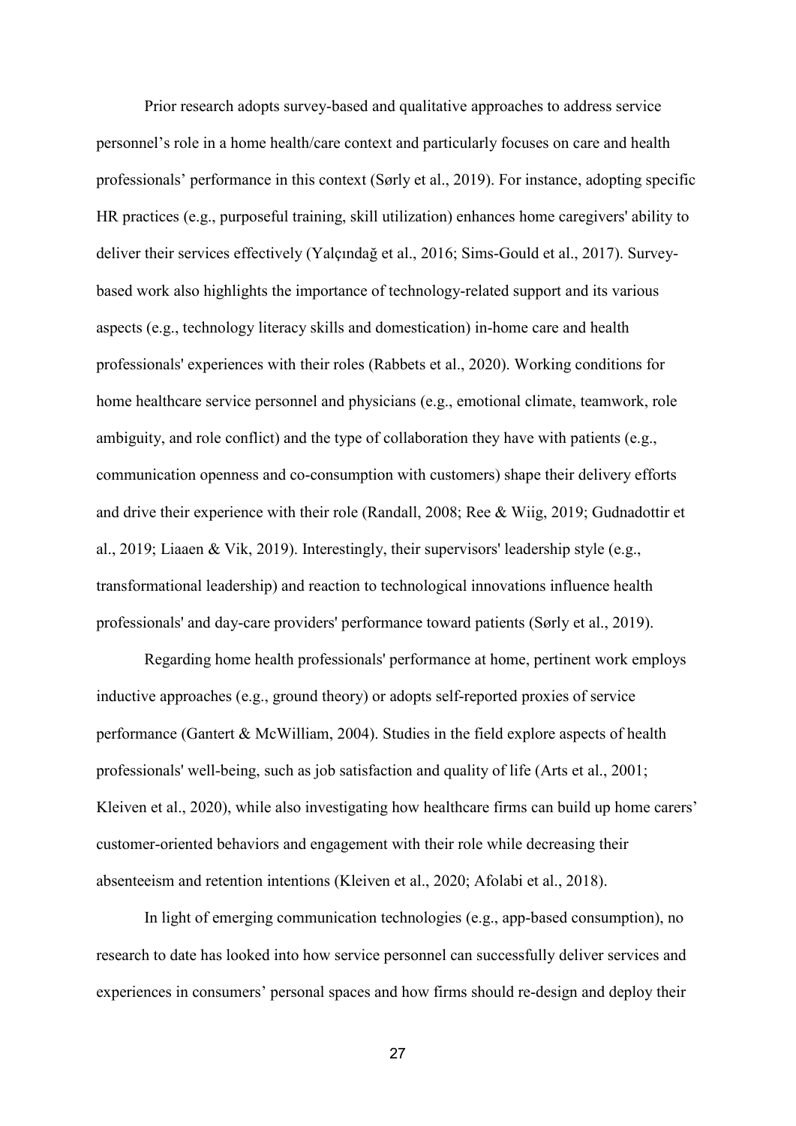Prior research adopts survey-based and qualitative approaches to address service personnel's role in a home health/care context and particularly focuses on care and health professionals' performance in this context (Sørly et al., 2019). For instance, adopting specific HR practices (e.g., purposeful training, skill utilization) enhances home caregivers' ability to deliver their services effectively (Yalçındağ et al., 2016; Sims-Gould et al., 2017). Surveybased work also highlights the importance of technology-related support and its various aspects (e.g., technology literacy skills and domestication) in-home care and health professionals' experiences with their roles (Rabbets et al., 2020). Working conditions for home healthcare service personnel and physicians (e.g., emotional climate, teamwork, role ambiguity, and role conflict) and the type of collaboration they have with patients (e.g., communication openness and co-consumption with customers) shape their delivery efforts and drive their experience with their role (Randall, 2008; Ree & Wiig, 2019; Gudnadottir et al., 2019; Liaaen & Vik, 2019). Interestingly, their supervisors' leadership style (e.g., transformational leadership) and reaction to technological innovations influence health professionals' and day-care providers' performance toward patients (Sørly et al., 2019).

Regarding home health professionals' performance at home, pertinent work employs inductive approaches (e.g., ground theory) or adopts self-reported proxies of service performance (Gantert & McWilliam, 2004). Studies in the field explore aspects of health professionals' well-being, such as job satisfaction and quality of life (Arts et al., 2001; Kleiven et al., 2020), while also investigating how healthcare firms can build up home carers' customer-oriented behaviors and engagement with their role while decreasing their absenteeism and retention intentions (Kleiven et al., 2020; Afolabi et al., 2018).

In light of emerging communication technologies (e.g., app-based consumption), no research to date has looked into how service personnel can successfully deliver services and experiences in consumers' personal spaces and how firms should re-design and deploy their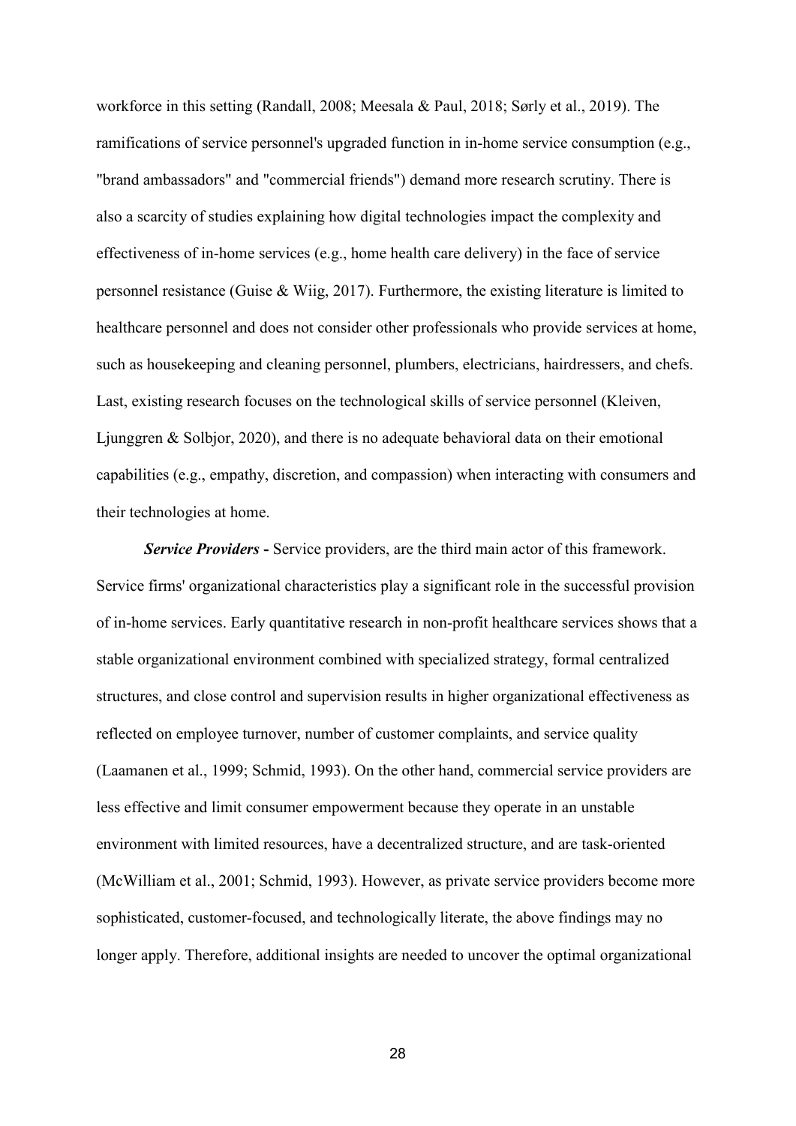workforce in this setting (Randall, 2008; Meesala & Paul, 2018; Sørly et al., 2019). The ramifications of service personnel's upgraded function in in-home service consumption (e.g., "brand ambassadors" and "commercial friends") demand more research scrutiny. There is also a scarcity of studies explaining how digital technologies impact the complexity and effectiveness of in-home services (e.g., home health care delivery) in the face of service personnel resistance (Guise & Wiig, 2017). Furthermore, the existing literature is limited to healthcare personnel and does not consider other professionals who provide services at home, such as housekeeping and cleaning personnel, plumbers, electricians, hairdressers, and chefs. Last, existing research focuses on the technological skills of service personnel (Kleiven, Ljunggren & Solbjor, 2020), and there is no adequate behavioral data on their emotional capabilities (e.g., empathy, discretion, and compassion) when interacting with consumers and their technologies at home.

*Service Providers* **-** Service providers, are the third main actor of this framework. Service firms' organizational characteristics play a significant role in the successful provision of in-home services. Early quantitative research in non-profit healthcare services shows that a stable organizational environment combined with specialized strategy, formal centralized structures, and close control and supervision results in higher organizational effectiveness as reflected on employee turnover, number of customer complaints, and service quality (Laamanen et al., 1999; Schmid, 1993). On the other hand, commercial service providers are less effective and limit consumer empowerment because they operate in an unstable environment with limited resources, have a decentralized structure, and are task-oriented (McWilliam et al., 2001; Schmid, 1993). However, as private service providers become more sophisticated, customer-focused, and technologically literate, the above findings may no longer apply. Therefore, additional insights are needed to uncover the optimal organizational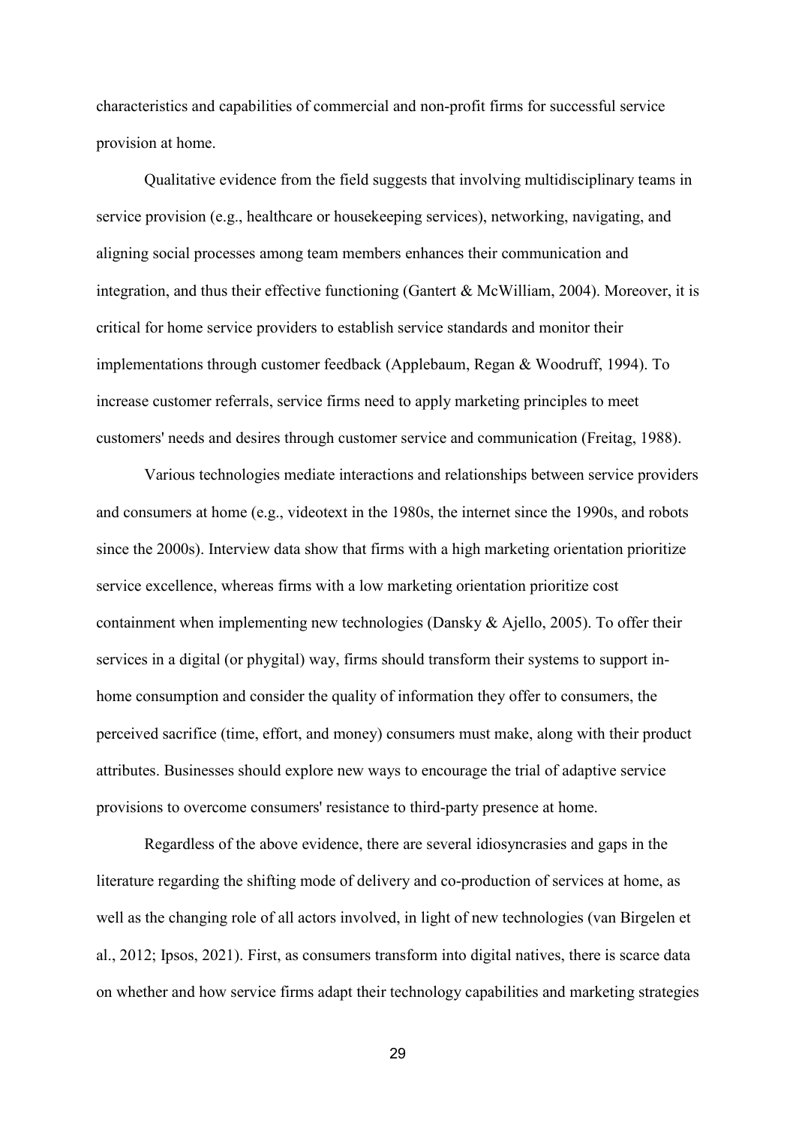characteristics and capabilities of commercial and non-profit firms for successful service provision at home.

Qualitative evidence from the field suggests that involving multidisciplinary teams in service provision (e.g., healthcare or house keeping services), networking, navigating, and aligning social processes among team members enhances their communication and integration, and thus their effective functioning (Gantert & McWilliam, 2004). Moreover, it is critical for home service providers to establish service standards and monitor their implementations through customer feedback (Applebaum, Regan & Woodruff, 1994). To increase customer referrals, service firms need to apply marketing principles to meet customers' needs and desires through customer service and communication (Freitag, 1988).

Various technologies mediate interactions and relationships between service providers and consumers at home (e.g., videotext in the 1980s, the internet since the 1990s, and robots since the 2000s). Interview data show that firms with a high marketing orientation prioritize service excellence, whereas firms with a low marketing orientation prioritize cost containment when implementing new technologies (Dansky & Ajello, 2005). To offer their services in a digital (or phygital) way, firms should transform their systems to support inhome consumption and consider the quality of information they offer to consumers, the perceived sacrifice (time, effort, and money) consumers must make, along with their product attributes. Businesses should explore new ways to encourage the trial of adaptive service provisions to overcome consumers' resistance to third-party presence at home.

Regardless of the above evidence, there are several idiosyncrasies and gaps in the literature regarding the shifting mode of delivery and co-production of services at home, as well as the changing role of all actors involved, in light of new technologies (van Birgelen et al., 2012; Ipsos, 2021). First, as consumers transform into digital natives, there is scarce data on whether and how service firms adapt their technology capabilities and marketing strategies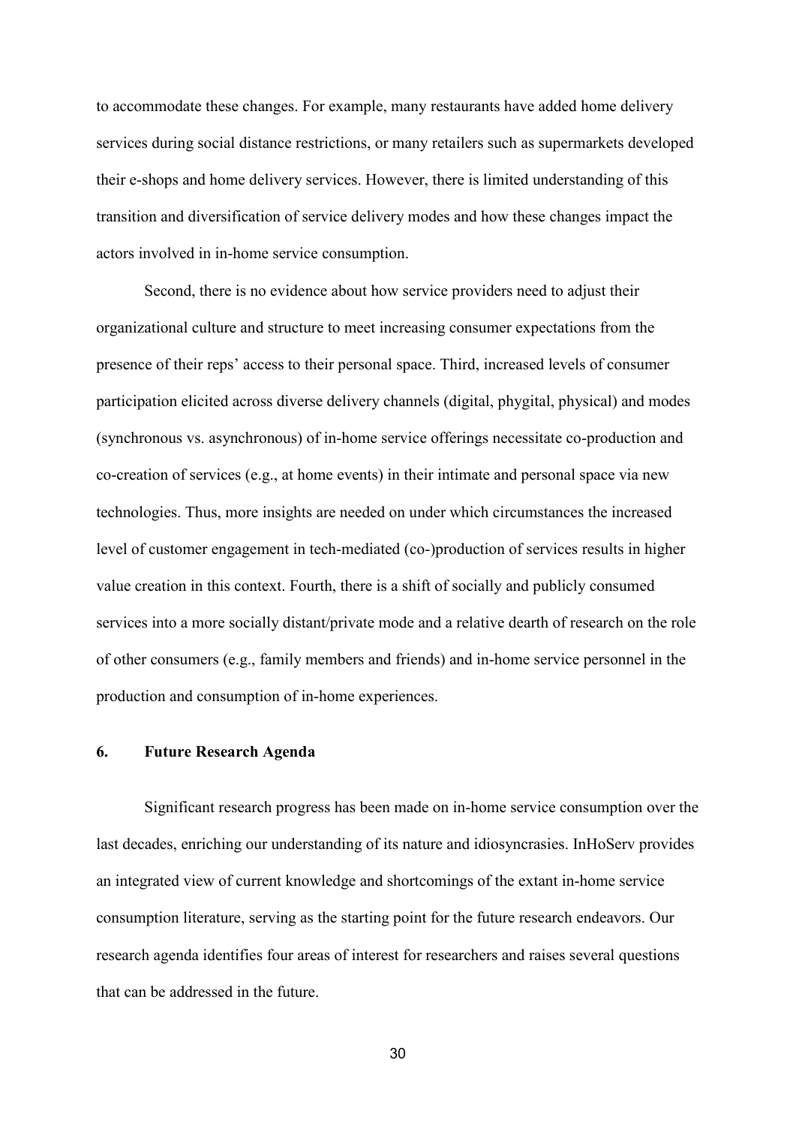to accommodate these changes. For example, many restaurants have added home delivery services during social distance restrictions, or many retailers such as supermarkets developed their e-shops and home delivery services. However, there is limited understanding of this transition and diversification of service delivery modes and how these changes impact the actors involved in in-home service consumption.

Second, there is no evidence about how service providers need to adjust their organizational culture and structure to meet increasing consumer expectations from the presence of their reps' access to their personal space. Third, increased levels of consumer participation elicited across diverse delivery channels (digital, phygital, physical) and modes (synchronous vs. asynchronous) of in-home service offerings necessitate co-production and co-creation of services (e.g., at home events) in their intimate and personal space via new technologies. Thus, more insights are needed on under which circumstances the increased level of customer engagement in tech-mediated (co-)production of services results in higher value creation in this context. Fourth, there is a shift of socially and publicly consumed services into a more socially distant/private mode and a relative dearth of research on the role of other consumers (e.g., family members and friends) and in-home service personnel in the production and consumption of in-home experiences.

#### **6. Future Research Agenda**

Significant research progress has been made on in-home service consumption over the last decades, enriching our understanding of its nature and idiosyncrasies. InHoServ provides an integrated view of current knowledge and shortcomings of the extant in-home service consumption literature, serving as the starting point for the future research endeavors. Our research agenda identifies four areas of interest for researchers and raises several questions that can be addressed in the future.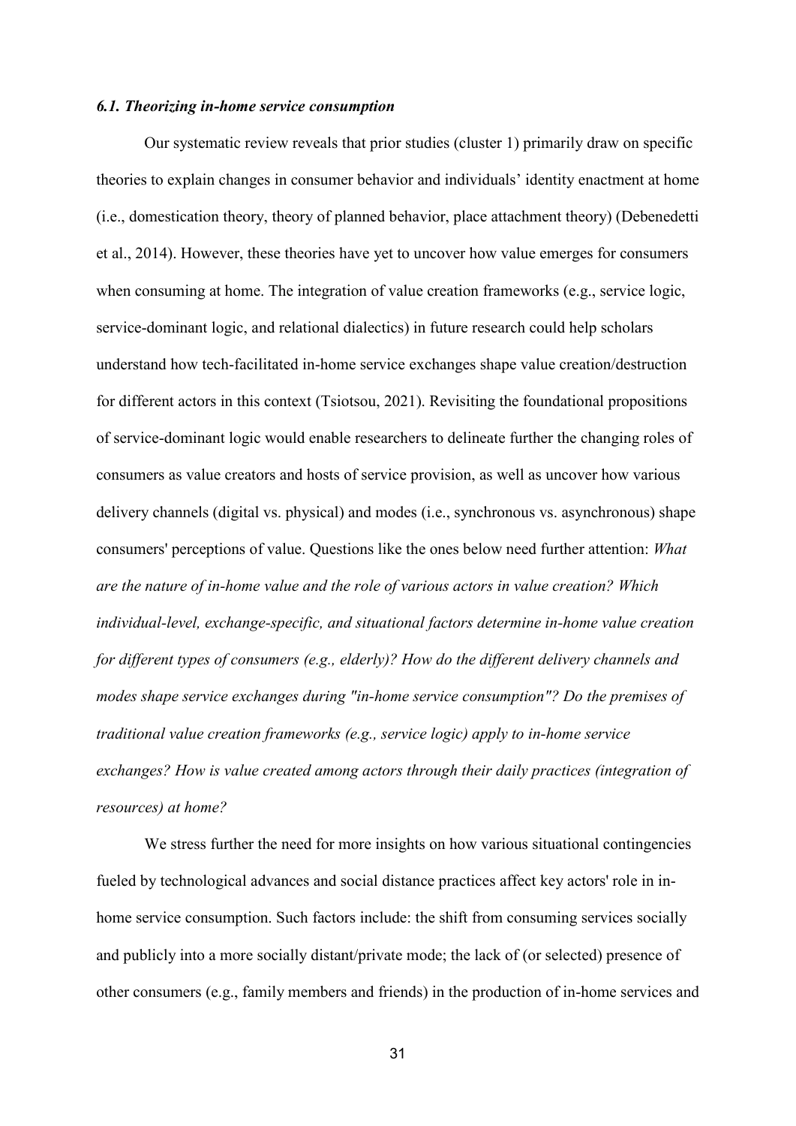#### *6.1. Theorizing in-home service consumption*

Our systematic review reveals that prior studies (cluster 1) primarily draw on specific theories to explain changes in consumer behavior and individuals' identity enactment at home (i.e., domestication theory, theory of planned behavior, place attachment theory) (Debenedetti et al., 2014). However, these theories have yet to uncover how value emerges for consumers when consuming at home. The integration of value creation frameworks (e.g., service logic, service-dominant logic, and relational dialectics) in future research could help scholars understand how tech-facilitated in-home service exchanges shape value creation/destruction for different actors in this context (Tsiotsou, 2021). Revisiting the foundational propositions of service-dominant logic would enable researchers to delineate further the changing roles of consumers as value creators and hosts of service provision, as well as uncover how various delivery channels (digital vs. physical) and modes (i.e., synchronous vs. asynchronous) shape consumers' perceptions of value. Questions like the ones below need further attention: *What are the nature of in-home value and the role of various actors in value creation? Which individual-level, exchange-specific, and situational factors determine in-home value creation for different types of consumers (e.g., elderly)? How do the different delivery channels and modes shape service exchanges during "in-home service consumption"? Do the premises of traditional value creation frameworks (e.g., service logic) apply to in-home service exchanges? How is value created among actors through their daily practices (integration of resources) at home?*

We stress further the need for more insights on how various situational contingencies fueled by technological advances and social distance practices affect key actors' role in inhome service consumption. Such factors include: the shift from consuming services socially and publicly into a more socially distant/private mode; the lack of (or selected) presence of other consumers (e.g., family members and friends) in the production of in-home services and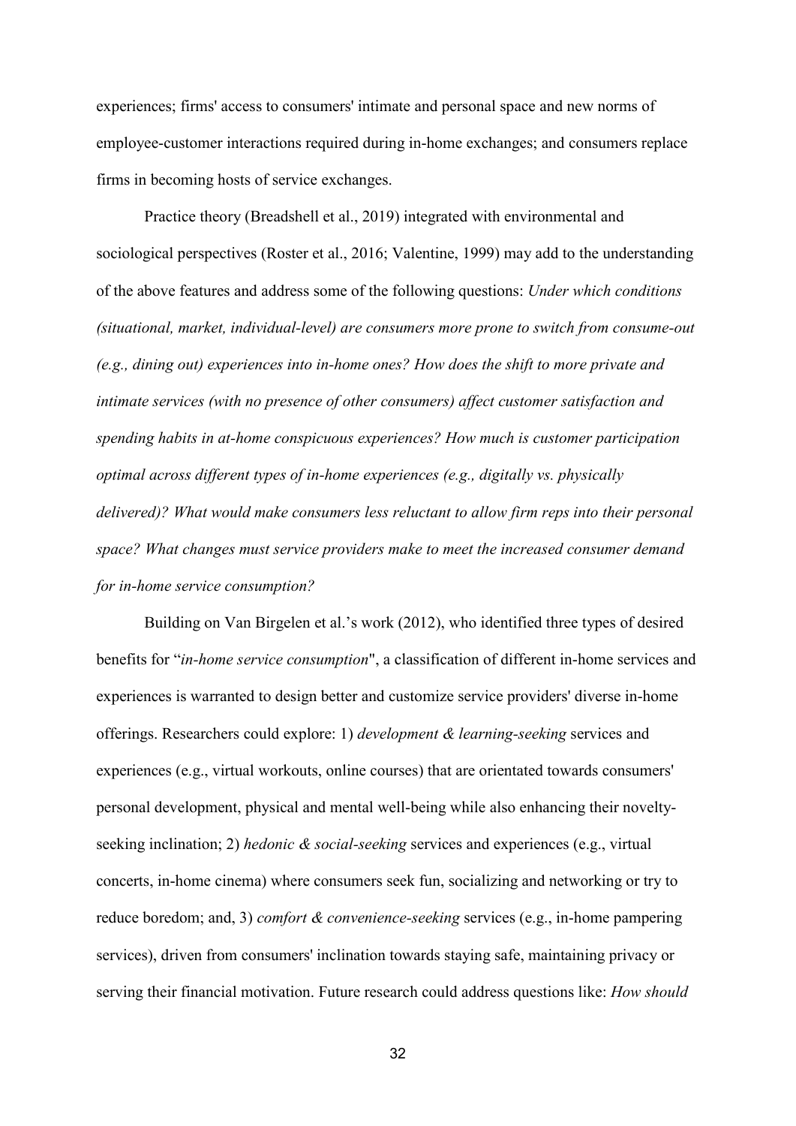experiences; firms' access to consumers' intimate and personal space and new norms of employee-customer interactions required during in-home exchanges; and consumers replace firms in becoming hosts of service exchanges.

Practice theory (Breadshell et al., 2019) integrated with environmental and sociological perspectives (Roster et al., 2016; Valentine, 1999) may add to the understanding of the above features and address some of the following questions: *Under which conditions (situational, market, individual-level) are consumers more prone to switch from consume-out (e.g., dining out) experiences into in-home ones? How does the shift to more private and intimate services (with no presence of other consumers) affect customer satisfaction and spending habits in at-home conspicuous experiences? How much is customer participation optimal across different types of in-home experiences (e.g., digitally vs. physically delivered)? What would make consumers less reluctant to allow firm reps into their personal space? What changes must service providers make to meet the increased consumer demand for in-home service consumption?*

Building on Van Birgelen et al.'s work (2012), who identified three types of desired benefits for "*in-home service consumption*", a classification of different in-home services and experiences is warranted to design better and customize service providers' diverse in-home offerings. Researchers could explore: 1) *development & learning-seeking* services and experiences (e.g., virtual workouts, online courses) that are orientated towards consumers' personal development, physical and mental well-being while also enhancing their noveltyseeking inclination; 2) *hedonic & social-seeking* services and experiences (e.g., virtual concerts, in-home cinema) where consumers seek fun, socializing and networking or try to reduce boredom; and, 3) *comfort & convenience-seeking* services (e.g., in-home pampering services), driven from consumers' inclination towards staying safe, maintaining privacy or serving their financial motivation. Future research could address questions like: *How should*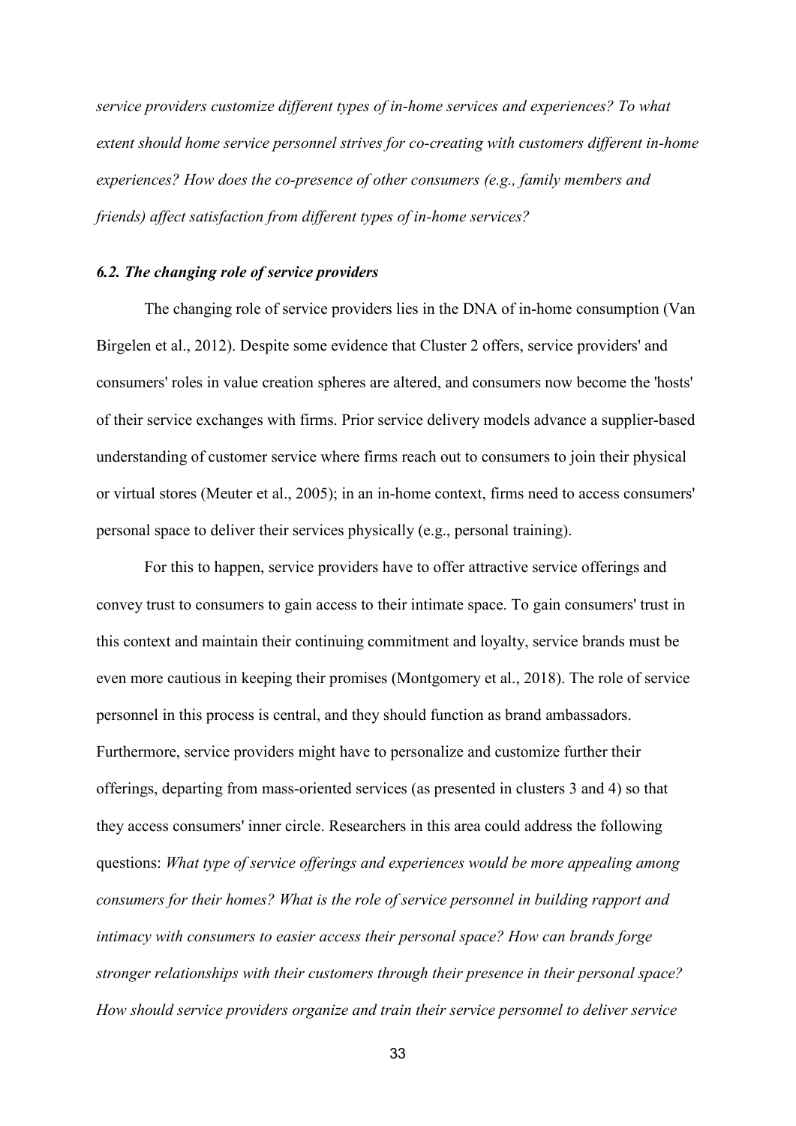*service providers customize different types of in-home services and experiences? To what extent should home service personnel strives for co-creating with customers different in-home experiences? How does the co-presence of other consumers (e.g., family members and friends) affect satisfaction from different types of in-home services?*

#### *6.2. The changing role of service providers*

The changing role of service providers lies in the DNA of in-home consumption (Van Birgelen et al., 2012). Despite some evidence that Cluster 2 offers, service providers' and consumers' roles in value creation spheres are altered, and consumers now become the 'hosts' of their service exchanges with firms. Prior service delivery models advance a supplier-based understanding of customer service where firms reach out to consumers to join their physical or virtual stores (Meuter et al., 2005); in an in-home context, firms need to access consumers' personal space to deliver their services physically (e.g., personal training).

For this to happen, service providers have to offer attractive service offerings and convey trust to consumers to gain access to their intimate space. To gain consumers' trust in this context and maintain their continuing commitment and loyalty, service brands must be even more cautious in keeping their promises (Montgomery et al., 2018). The role of service personnel in this process is central, and they should function as brand ambassadors. Furthermore, service providers might have to personalize and customize further their offerings, departing from mass-oriented services (as presented in clusters 3 and 4) so that they access consumers' inner circle. Researchers in this area could address the following questions: *What type of service offerings and experiences would be more appealing among consumers for their homes? What is the role of service personnel in building rapport and intimacy with consumers to easier access their personal space? How can brands forge stronger relationships with their customers through their presence in their personal space? How should service providers organize and train their service personnel to deliver service*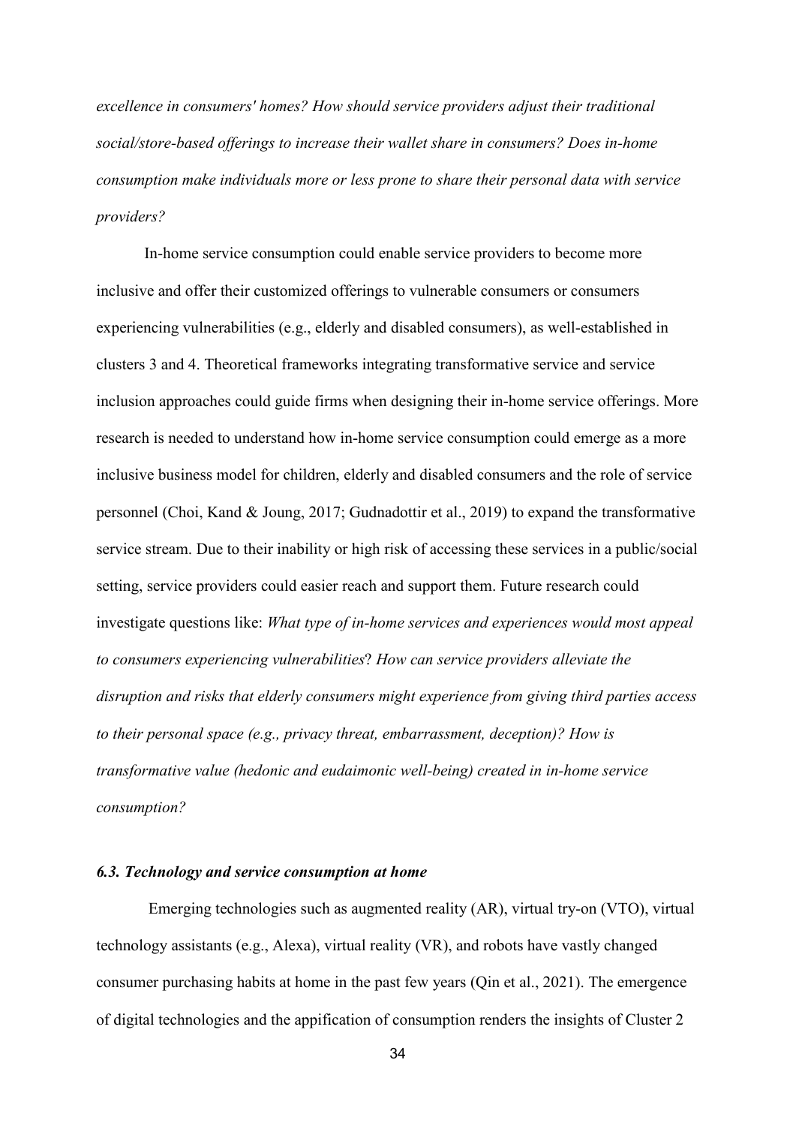*excellence in consumers' homes? How should service providers adjust their traditional social/store-based offerings to increase their wallet share in consumers? Does in-home consumption make individuals more or less prone to share their personal data with service providers?* 

In-home service consumption could enable service providers to become more inclusive and offer their customized offerings to vulnerable consumers or consumers experiencing vulnerabilities (e.g., elderly and disabled consumers), as well-established in clusters 3 and 4. Theoretical frameworks integrating transformative service and service inclusion approaches could guide firms when designing their in-home service offerings. More research is needed to understand how in-home service consumption could emerge as a more inclusive business model for children, elderly and disabled consumers and the role of service personnel (Choi, Kand & Joung, 2017; Gudnadottir et al., 2019) to expand the transformative service stream. Due to their inability or high risk of accessing these services in a public/social setting, service providers could easier reach and support them. Future research could investigate questions like: *What type of in-home services and experiences would most appeal to consumers experiencing vulnerabilities*? *How can service providers alleviate the disruption and risks that elderly consumers might experience from giving third parties access to their personal space (e.g., privacy threat, embarrassment, deception)? How is transformative value (hedonic and eudaimonic well-being) created in in-home service consumption?*

#### *6.3. Technology and service consumption at home*

Emerging technologies such as augmented reality (AR), virtual try-on (VTO), virtual technology assistants (e.g., Alexa), virtual reality (VR), and robots have vastly changed consumer purchasing habits at home in the past few years (Qin et al., 2021). The emergence of digital technologies and the appification of consumption renders the insights of Cluster 2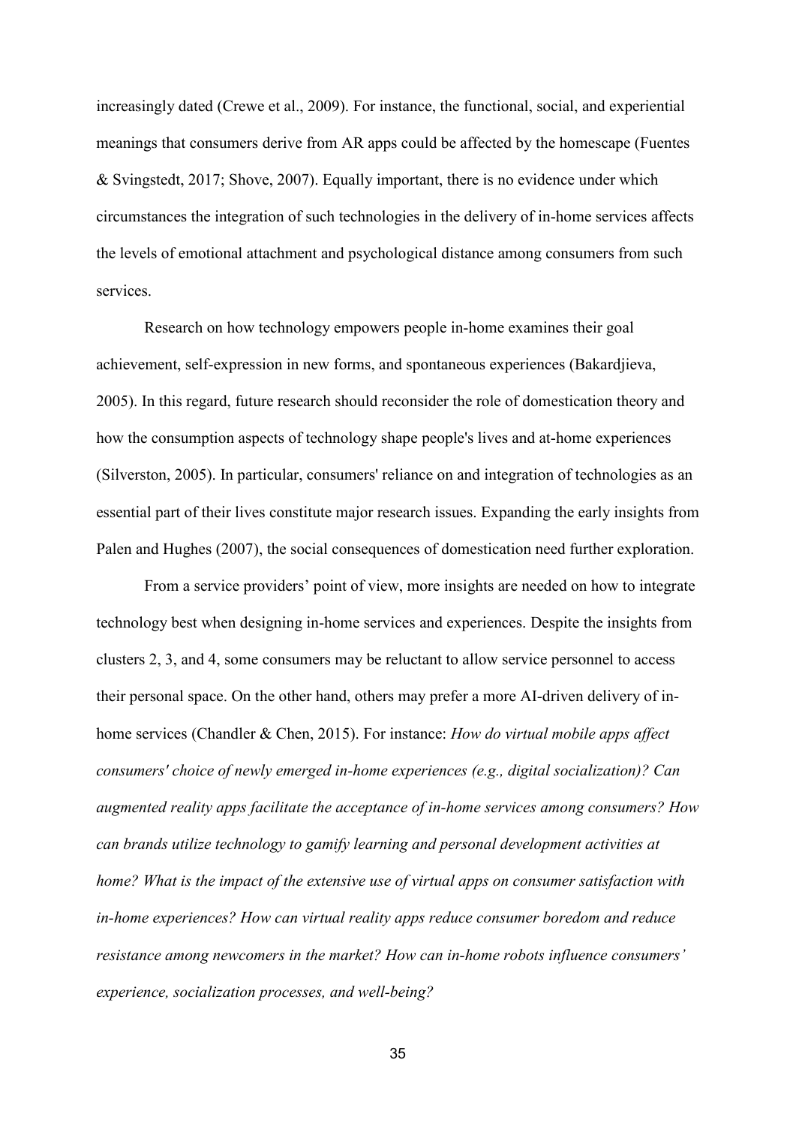increasingly dated (Crewe et al., 2009). For instance, the functional, social, and experiential meanings that consumers derive from AR apps could be affected by the homescape (Fuentes & Svingstedt, 2017; Shove, 2007). Equally important, there is no evidence under which circumstances the integration of such technologies in the delivery of in-home services affects the levels of emotional attachment and psychological distance among consumers from such services.

Research on how technology empowers people in-home examines their goal achievement, self-expression in new forms, and spontaneous experiences (Bakardjieva, 2005). In this regard, future research should reconsider the role of domestication theory and how the consumption aspects of technology shape people's lives and at-home experiences (Silverston, 2005). In particular, consumers' reliance on and integration of technologies as an essential part of their lives constitute major research issues. Expanding the early insights from Palen and Hughes (2007), the social consequences of domestication need further exploration.

From a service providers' point of view, more insights are needed on how to integrate technology best when designing in-home services and experiences. Despite the insights from clusters 2, 3, and 4, some consumers may be reluctant to allow service personnel to access their personal space. On the other hand, others may prefer a more AI-driven delivery of inhome services (Chandler & Chen, 2015). For instance: *How do virtual mobile apps affect consumers' choice of newly emerged in-home experiences (e.g., digital socialization)? Can augmented reality apps facilitate the acceptance of in-home services among consumers? How can brands utilize technology to gamify learning and personal development activities at home? What is the impact of the extensive use of virtual apps on consumer satisfaction with in-home experiences? How can virtual reality apps reduce consumer boredom and reduce resistance among newcomers in the market? How can in-home robots influence consumers' experience, socialization processes, and well-being?*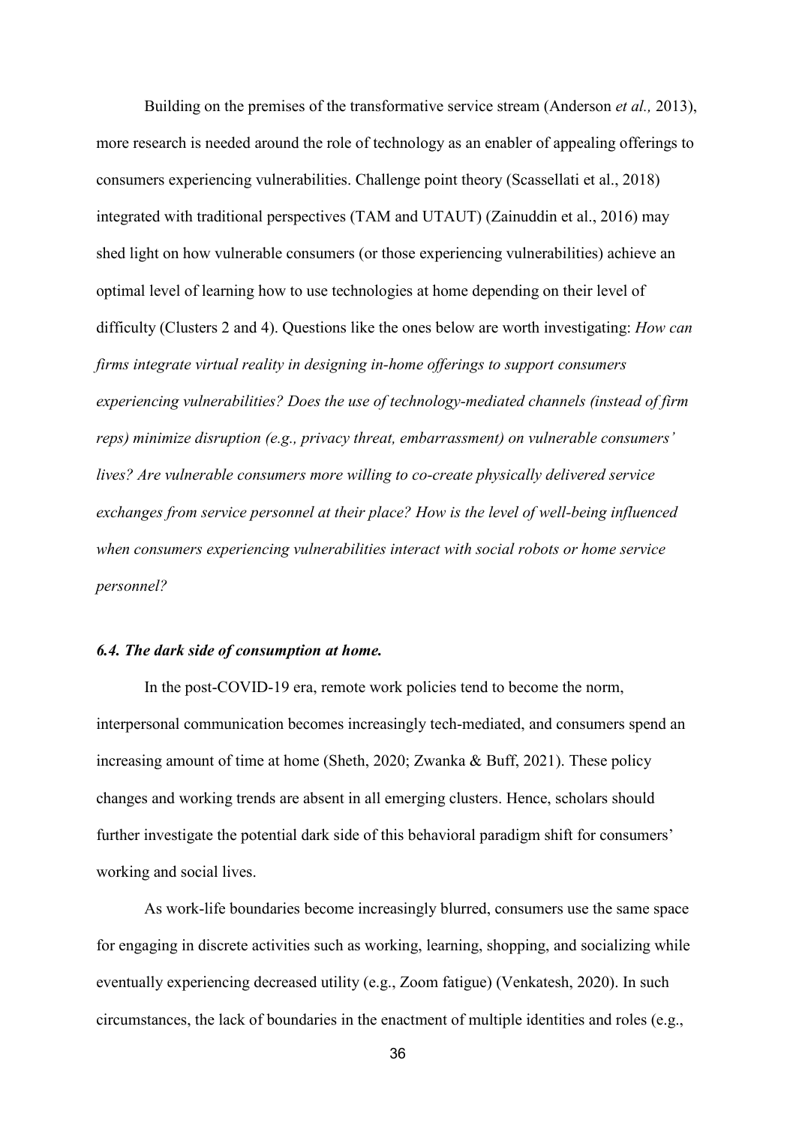Building on the premises of the transformative service stream (Anderson *et al.,* 2013), more research is needed around the role of technology as an enabler of appealing offerings to consumers experiencing vulnerabilities. Challenge point theory (Scassellati et al., 2018) integrated with traditional perspectives (TAM and UTAUT) (Zainuddin et al., 2016) may shed light on how vulnerable consumers (or those experiencing vulnerabilities) achieve an optimal level of learning how to use technologies at home depending on their level of difficulty (Clusters 2 and 4). Questions like the ones below are worth investigating: *How can firms integrate virtual reality in designing in-home offerings to support consumers experiencing vulnerabilities? Does the use of technology-mediated channels (instead of firm reps) minimize disruption (e.g., privacy threat, embarrassment) on vulnerable consumers' lives? Are vulnerable consumers more willing to co-create physically delivered service exchanges from service personnel at their place? How is the level of well-being influenced when consumers experiencing vulnerabilities interact with social robots or home service personnel?*

### *6.4. The dark side of consumption at home.*

In the post-COVID-19 era, remote work policies tend to become the norm, interpersonal communication becomes increasingly tech-mediated, and consumers spend an increasing amount of time at home (Sheth, 2020; Zwanka & Buff, 2021). These policy changes and working trends are absent in all emerging clusters. Hence, scholars should further investigate the potential dark side of this behavioral paradigm shift for consumers' working and social lives.

As work-life boundaries become increasingly blurred, consumers use the same space for engaging in discrete activities such as working, learning, shopping, and socializing while eventually experiencing decreased utility (e.g., Zoom fatigue) (Venkatesh, 2020). In such circumstances, the lack of boundaries in the enactment of multiple identities and roles (e.g.,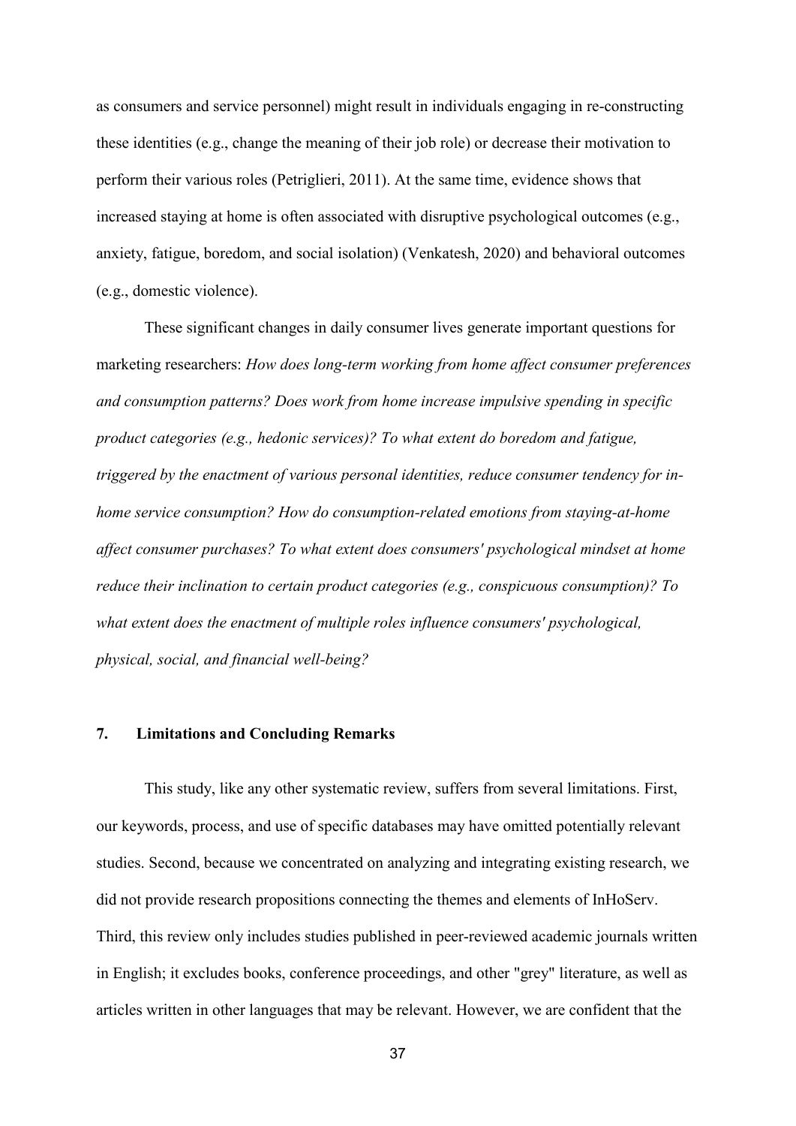as consumers and service personnel) might result in individuals engaging in re-constructing these identities (e.g., change the meaning of their job role) or decrease their motivation to perform their various roles (Petriglieri, 2011). At the same time, evidence shows that increased staying at home is often associated with disruptive psychological outcomes (e.g., anxiety, fatigue, boredom, and social isolation) (Venkatesh, 2020) and behavioral outcomes (e.g., domestic violence).

These significant changes in daily consumer lives generate important questions for marketing researchers: *How does long-term working from home affect consumer preferences and consumption patterns? Does work from home increase impulsive spending in specific product categories (e.g., hedonic services)? To what extent do boredom and fatigue, triggered by the enactment of various personal identities, reduce consumer tendency for inhome service consumption? How do consumption-related emotions from staying-at-home affect consumer purchases? To what extent does consumers' psychological mindset at home reduce their inclination to certain product categories (e.g., conspicuous consumption)? To what extent does the enactment of multiple roles influence consumers' psychological, physical, social, and financial well-being?*

#### **7. Limitations and Concluding Remarks**

This study, like any other systematic review, suffers from several limitations. First, our keywords, process, and use of specific databases may have omitted potentially relevant studies. Second, because we concentrated on analyzing and integrating existing research, we did not provide research propositions connecting the themes and elements of InHoServ. Third, this review only includes studies published in peer-reviewed academic journals written in English; it excludes books, conference proceedings, and other "grey" literature, as well as articles written in other languages that may be relevant. However, we are confident that the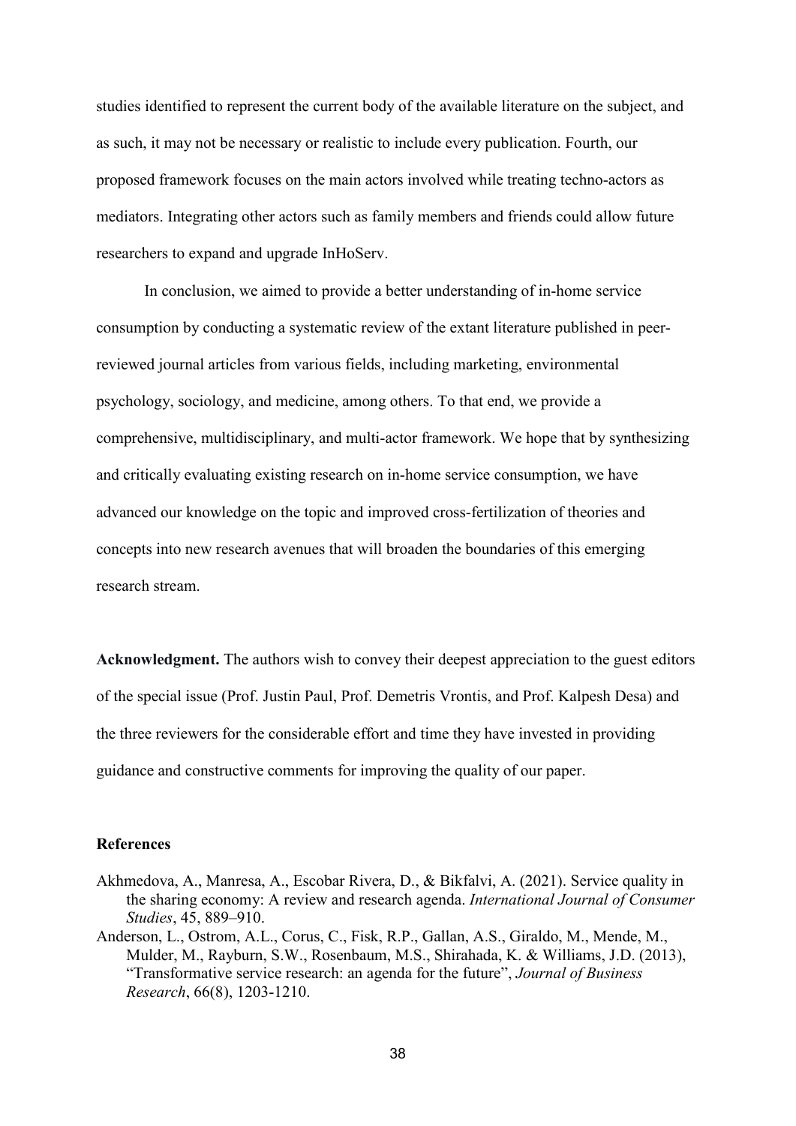studies identified to represent the current body of the available literature on the subject, and as such, it may not be necessary or realistic to include every publication. Fourth, our proposed framework focuses on the main actors involved while treating techno-actors as mediators. Integrating other actors such as family members and friends could allow future researchers to expand and upgrade InHoServ.

In conclusion, we aimed to provide a better understanding of in-home service consumption by conducting a systematic review of the extant literature published in peerreviewed journal articles from various fields, including marketing, environmental psychology, sociology, and medicine, among others. To that end, we provide a comprehensive, multidisciplinary, and multi-actor framework. We hope that by synthesizing and critically evaluating existing research on in-home service consumption, we have advanced our knowledge on the topic and improved cross-fertilization of theories and concepts into new research avenues that will broaden the boundaries of this emerging research stream.

**Acknowledgment.** The authors wish to convey their deepest appreciation to the guest editors of the special issue (Prof. Justin Paul, Prof. Demetris Vrontis, and Prof. Kalpesh Desa) and the three reviewers for the considerable effort and time they have invested in providing guidance and constructive comments for improving the quality of our paper.

#### **References**

- Akhmedova, A., Manresa, A., Escobar Rivera, D., & Bikfalvi, A. (2021). Service quality in the sharing economy: A review and research agenda. *International Journal of Consumer Studies*, 45, 889–910.
- Anderson, L., Ostrom, A.L., Corus, C., Fisk, R.P., Gallan, A.S., Giraldo, M., Mende, M., Mulder, M., Rayburn, S.W., Rosenbaum, M.S., Shirahada, K. & Williams, J.D. (2013), "Transformative service research: an agenda for the future", *Journal of Business Research*, 66(8), 1203-1210.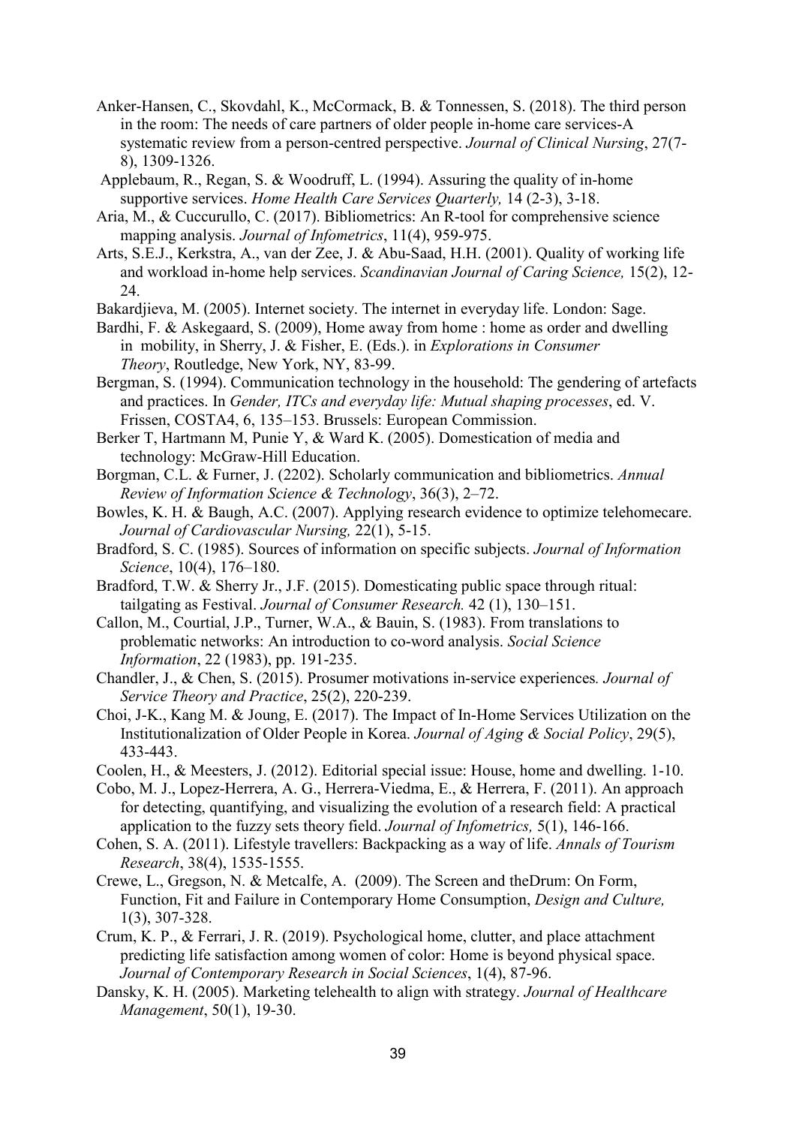- Anker-Hansen, C., Skovdahl, K., McCormack, B. & Tonnessen, S. (2018). The third person in the room: The needs of care partners of older people in-home care services-A systematic review from a person-centred perspective. *Journal of Clinical Nursing*, 27(7- 8), 1309-1326.
- Applebaum, R., Regan, S. & Woodruff, L. (1994). Assuring the quality of in-home supportive services. *Home Health Care Services Quarterly,* 14 (2-3), 3-18.
- Aria, M., & Cuccurullo, C. (2017). Bibliometrics: An R-tool for comprehensive science mapping analysis. *Journal of Infometrics*, 11(4), 959-975.
- Arts, S.E.J., Kerkstra, A., van der Zee, J. & Abu-Saad, H.H. (2001). Quality of working life and workload in-home help services. *Scandinavian Journal of Caring Science,* 15(2), 12- 24.
- Bakardjieva, M. (2005). Internet society. The internet in everyday life. London: Sage.
- Bardhi, F. & Askegaard, S. (2009), Home away from home : home as order and dwelling in mobility, in Sherry, J. & Fisher, E. (Eds.). in *Explorations in Consumer Theory*, Routledge, New York, NY, 83-99.
- Bergman, S. (1994). Communication technology in the household: The gendering of artefacts and practices. In *Gender, ITCs and everyday life: Mutual shaping processes*, ed. V. Frissen, COSTA4, 6, 135–153. Brussels: European Commission.
- Berker T, Hartmann M, Punie Y, & Ward K. (2005). Domestication of media and technology: McGraw-Hill Education.
- Borgman, C.L. & Furner, J. (2202). Scholarly communication and bibliometrics. *Annual Review of Information Science & Technology*, 36(3), 2–72.
- Bowles, K. H. & Baugh, A.C. (2007). Applying research evidence to optimize telehomecare. *Journal of Cardiovascular Nursing,* 22(1), 5-15.
- Bradford, S. C. (1985). Sources of information on specific subjects. *Journal of Information Science*, 10(4), 176–180.
- Bradford, T.W. & Sherry Jr., J.F. (2015). Domesticating public space through ritual: tailgating as Festival. *Journal of Consumer Research.* 42 (1), 130–151.
- Callon, M., Courtial, J.P., Turner, W.A., & Bauin, S. (1983). From translations to problematic networks: An introduction to co-word analysis. *Social Science Information*, 22 (1983), pp. 191-235.
- Chandler, J., & Chen, S. (2015). Prosumer motivations in-service experiences*. Journal of Service Theory and Practice*, 25(2), 220-239.
- Choi, J-K., Kang M. & Joung, E. (2017). The Impact of In-Home Services Utilization on the Institutionalization of Older People in Korea. *Journal of Aging & Social Policy*, 29(5), 433-443.
- Coolen, H., & Meesters, J. (2012). Editorial special issue: House, home and dwelling. 1-10.
- Cobo, M. J., Lopez-Herrera, A. G., Herrera-Viedma, E., & Herrera, F. (2011). An approach for detecting, quantifying, and visualizing the evolution of a research field: A practical application to the fuzzy sets theory field. *Journal of Infometrics,* 5(1), 146-166.
- Cohen, S. A. (2011). Lifestyle travellers: Backpacking as a way of life. *Annals of Tourism Research*, 38(4), 1535-1555.
- Crewe, L., Gregson, N. & Metcalfe, A. (2009). The Screen and theDrum: On Form, Function, Fit and Failure in Contemporary Home Consumption, *Design and Culture,* 1(3), 307-328.
- Crum, K. P., & Ferrari, J. R. (2019). Psychological home, clutter, and place attachment predicting life satisfaction among women of color: Home is beyond physical space. *Journal of Contemporary Research in Social Sciences*, 1(4), 87-96.
- Dansky, K. H. (2005). Marketing telehealth to align with strategy. *Journal of Healthcare Management*, 50(1), 19-30.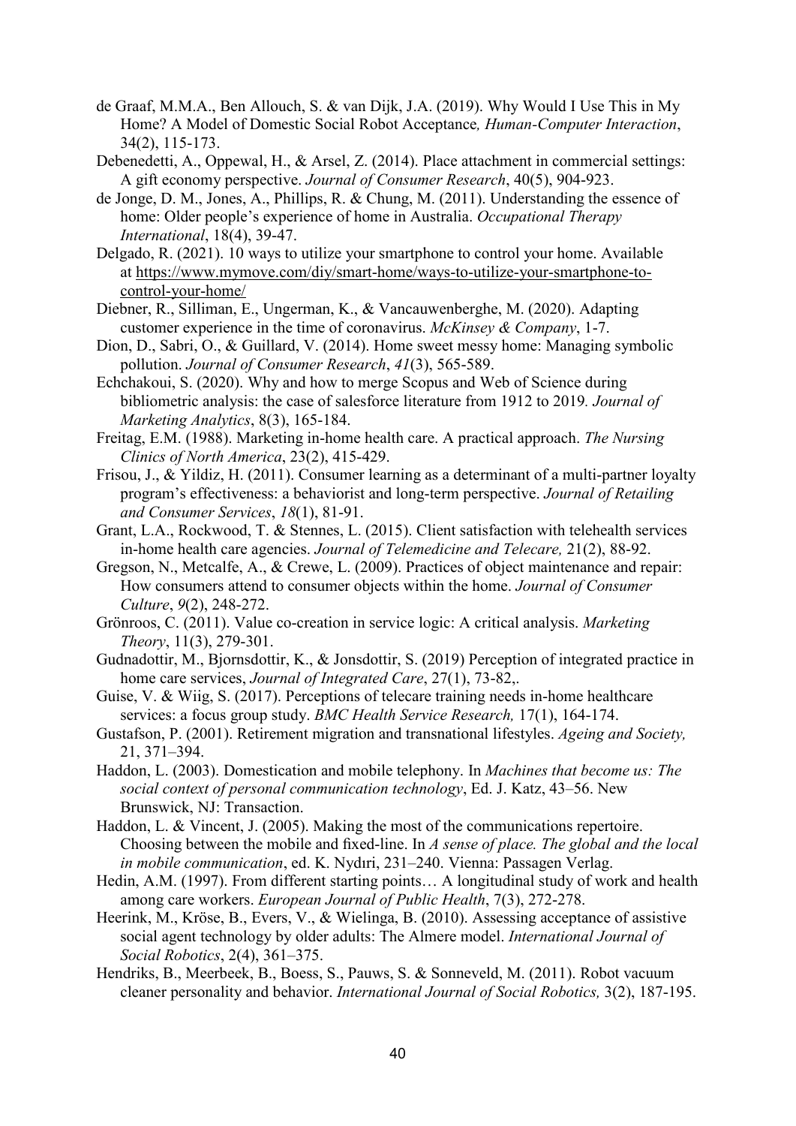- de Graaf, M.M.A., Ben Allouch, S. & van Dijk, J.A. (2019). Why Would I Use This in My Home? A Model of Domestic Social Robot Acceptance*, Human-Computer Interaction*, 34(2), 115-173.
- Debenedetti, A., Oppewal, H., & Arsel, Z. (2014). Place attachment in commercial settings: A gift economy perspective. *Journal of Consumer Research*, 40(5), 904-923.
- de Jonge, D. M., Jones, A., Phillips, R. & Chung, M. (2011). Understanding the essence of home: Older people's experience of home in Australia. *Occupational Therapy International*, 18(4), 39-47.
- Delgado, R. (2021). 10 ways to utilize your smartphone to control your home. Available at [https://www.mymove.com/diy/smart-home/ways-to-utilize-your-smartphone-to](https://protect-eu.mimecast.com/s/wOwyCk7OyHAMpowHQz30_?domain=mymove.com/)[control-your-home/](https://protect-eu.mimecast.com/s/wOwyCk7OyHAMpowHQz30_?domain=mymove.com/)
- Diebner, R., Silliman, E., Ungerman, K., & Vancauwenberghe, M. (2020). Adapting customer experience in the time of coronavirus. *McKinsey & Company*, 1-7.
- Dion, D., Sabri, O., & Guillard, V. (2014). Home sweet messy home: Managing symbolic pollution. *Journal of Consumer Research*, *41*(3), 565-589.
- Echchakoui, S. (2020). Why and how to merge Scopus and Web of Science during bibliometric analysis: the case of salesforce literature from 1912 to 2019*. Journal of Marketing Analytics*, 8(3), 165-184.
- Freitag, E.M. (1988). Marketing in-home health care. A practical approach. *The Nursing Clinics of North America*, 23(2), 415-429.
- Frisou, J., & Yildiz, H. (2011). Consumer learning as a determinant of a multi-partner loyalty program's effectiveness: a behaviorist and long-term perspective. *Journal of Retailing and Consumer Services*, *18*(1), 81-91.
- Grant, L.A., Rockwood, T. & Stennes, L. (2015). Client satisfaction with telehealth services in-home health care agencies. *Journal of Telemedicine and Telecare,* 21(2), 88-92.
- Gregson, N., Metcalfe, A., & Crewe, L. (2009). Practices of object maintenance and repair: How consumers attend to consumer objects within the home. *Journal of Consumer Culture*, *9*(2), 248-272.
- Grönroos, C. (2011). Value co-creation in service logic: A critical analysis. *Marketing Theory*, 11(3), 279-301.
- Gudnadottir, M., Bjornsdottir, K., & Jonsdottir, S. (2019) Perception of integrated practice in home care services, *Journal of Integrated Care*, 27(1), 73-82,.
- Guise, V. & Wiig, S. (2017). Perceptions of telecare training needs in-home healthcare services: a focus group study. *BMC Health Service Research,* 17(1), 164-174.
- Gustafson, P. (2001). Retirement migration and transnational lifestyles. *Ageing and Society,* 21, 371–394.
- Haddon, L. (2003). Domestication and mobile telephony. In *Machines that become us: The social context of personal communication technology*, Ed. J. Katz, 43–56. New Brunswick, NJ: Transaction.
- Haddon, L. & Vincent, J. (2005). Making the most of the communications repertoire. Choosing between the mobile and fixed-line. In *A sense of place. The global and the local in mobile communication*, ed. K. Nydıri, 231–240. Vienna: Passagen Verlag.
- Hedin, A.M. (1997). From different starting points… A longitudinal study of work and health among care workers. *European Journal of Public Health*, 7(3), 272-278.
- Heerink, M., Kröse, B., Evers, V., & Wielinga, B. (2010). Assessing acceptance of assistive social agent technology by older adults: The Almere model. *International Journal of Social Robotics*, 2(4), 361–375.
- Hendriks, B., Meerbeek, B., Boess, S., Pauws, S. & Sonneveld, M. (2011). Robot vacuum cleaner personality and behavior. *International Journal of Social Robotics,* 3(2), 187-195.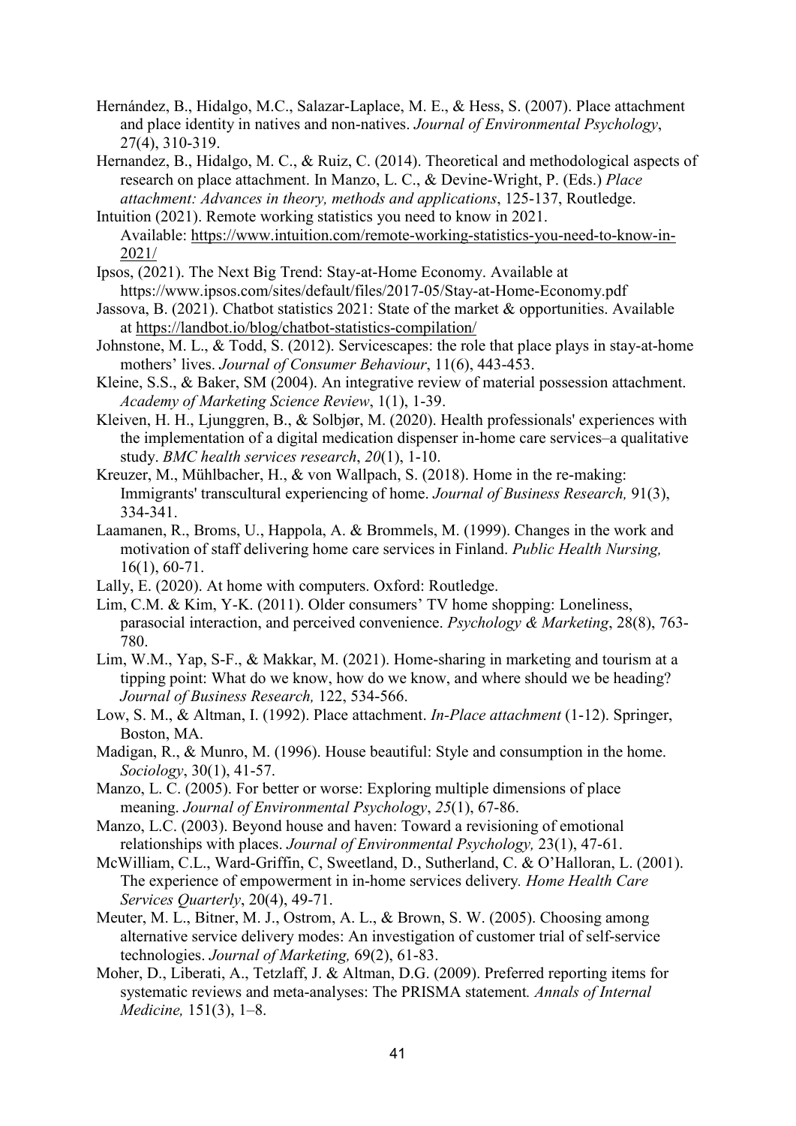- Hernández, B., Hidalgo, M.C., Salazar-Laplace, M. E., & Hess, S. (2007). Place attachment and place identity in natives and non-natives. *Journal of Environmental Psychology*, 27(4), 310-319.
- Hernandez, B., Hidalgo, M. C., & Ruiz, C. (2014). Theoretical and methodological aspects of research on place attachment. In Manzo, L. C., & Devine-Wright, P. (Eds.) *Place attachment: Advances in theory, methods and applications*, 125-137, Routledge.
- Intuition (2021). Remote working statistics you need to know in 2021. Available: [https://www.intuition.com/remote-working-statistics-you-need-to-know-in-](https://protect-eu.mimecast.com/s/JvoECqZMGFnpoJ2hM07kC?domain=intuition.com/)[2021/](https://protect-eu.mimecast.com/s/JvoECqZMGFnpoJ2hM07kC?domain=intuition.com/)
- Ipsos, (2021). The Next Big Trend: Stay-at-Home Economy. Available at https://www.ipsos.com/sites/default/files/2017-05/Stay-at-Home-Economy.pdf
- Jassova, B. (2021). Chatbot statistics 2021: State of the market & opportunities. Available at [https://landbot.io/blog/chatbot-statistics-compilation/](https://protect-eu.mimecast.com/s/YSlUCr9MJT75G4mCxv9RM?domain=landbot.io/)
- Johnstone, M. L., & Todd, S. (2012). Servicescapes: the role that place plays in stay‐at‐home mothers' lives. *Journal of Consumer Behaviour*, 11(6), 443-453.
- Kleine, S.S., & Baker, SM (2004). An integrative review of material possession attachment. *Academy of Marketing Science Review*, 1(1), 1-39.
- Kleiven, H. H., Ljunggren, B., & Solbjør, M. (2020). Health professionals' experiences with the implementation of a digital medication dispenser in-home care services–a qualitative study. *BMC health services research*, *20*(1), 1-10.
- Kreuzer, M., Mühlbacher, H., & von Wallpach, S. (2018). Home in the re-making: Immigrants' transcultural experiencing of home. *Journal of Business Research,* 91(3), 334-341.
- Laamanen, R., Broms, U., Happola, A. & Brommels, M. (1999). Changes in the work and motivation of staff delivering home care services in Finland. *Public Health Nursing,* 16(1), 60-71.
- Lally, E. (2020). At home with computers. Oxford: Routledge.
- Lim, C.M. & Kim, Y-K. (2011). Older consumers' TV home shopping: Loneliness, parasocial interaction, and perceived convenience. *Psychology & Marketing*, 28(8), 763- 780.
- Lim, W.M., Yap, S-F., & Makkar, M. (2021). Home-sharing in marketing and tourism at a tipping point: What do we know, how do we know, and where should we be heading? *Journal of Business Research,* 122, 534-566.
- Low, S. M., & Altman, I. (1992). Place attachment. *In-Place attachment* (1-12). Springer, Boston, MA.
- Madigan, R., & Munro, M. (1996). House beautiful: Style and consumption in the home. *Sociology*, 30(1), 41-57.
- Manzo, L. C. (2005). For better or worse: Exploring multiple dimensions of place meaning. *Journal of Environmental Psychology*, *25*(1), 67-86.
- Manzo, L.C. (2003). Beyond house and haven: Toward a revisioning of emotional relationships with places. *Journal of Environmental Psychology,* 23(1), 47-61.
- McWilliam, C.L., Ward-Griffin, C, Sweetland, D., Sutherland, C. & O'Halloran, L. (2001). The experience of empowerment in in-home services delivery*. Home Health Care Services Quarterly*, 20(4), 49-71.
- Meuter, M. L., Bitner, M. J., Ostrom, A. L., & Brown, S. W. (2005). Choosing among alternative service delivery modes: An investigation of customer trial of self-service technologies. *Journal of Marketing,* 69(2), 61-83.
- Moher, D., Liberati, A., Tetzlaff, J. & Altman, D.G. (2009). Preferred reporting items for systematic reviews and meta-analyses: The PRISMA statement*. Annals of Internal Medicine,* 151(3), 1–8.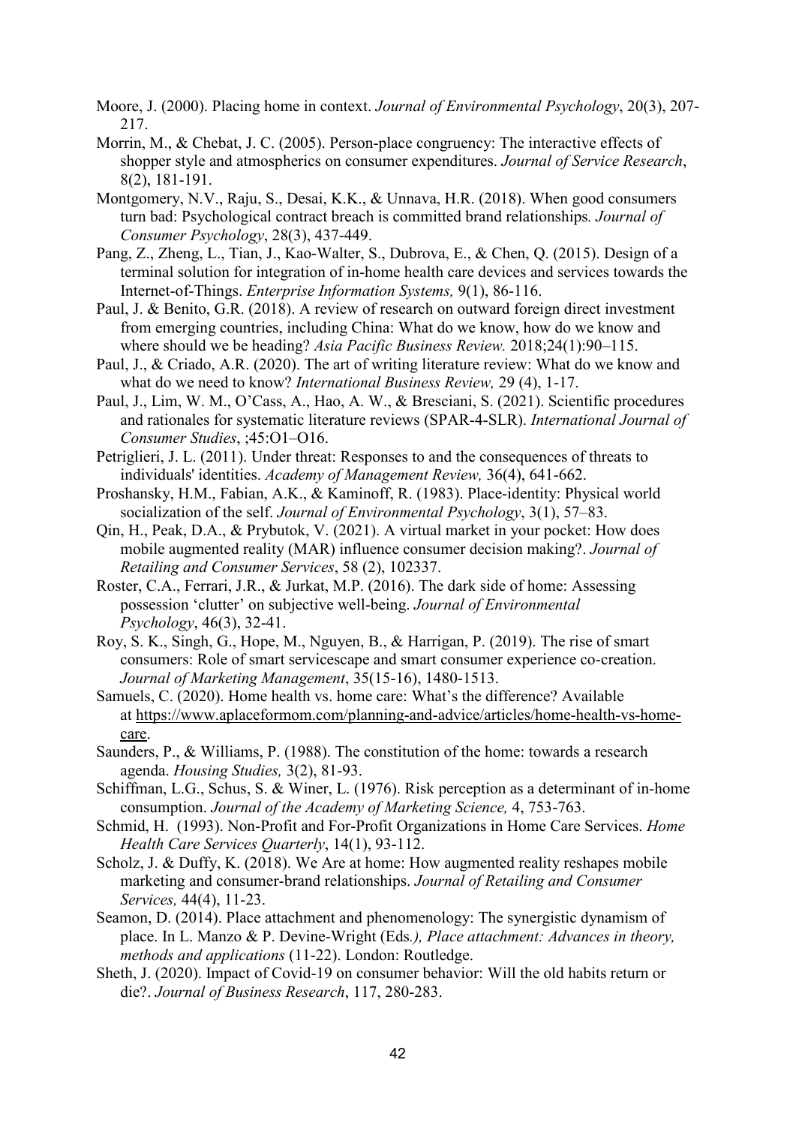- Moore, J. (2000). Placing home in context. *Journal of Environmental Psychology*, 20(3), 207- 217.
- Morrin, M., & Chebat, J. C. (2005). Person-place congruency: The interactive effects of shopper style and atmospherics on consumer expenditures. *Journal of Service Research*, 8(2), 181-191.
- Montgomery, N.V., Raju, S., Desai, K.K., & Unnava, H.R. (2018). When good consumers turn bad: Psychological contract breach is committed brand relationships*. Journal of Consumer Psychology*, 28(3), 437-449.
- Pang, Z., Zheng, L., Tian, J., Kao-Walter, S., Dubrova, E., & Chen, Q. (2015). Design of a terminal solution for integration of in-home health care devices and services towards the Internet-of-Things. *Enterprise Information Systems,* 9(1), 86-116.
- Paul, J. & Benito, G.R. (2018). A review of research on outward foreign direct investment from emerging countries, including China: What do we know, how do we know and where should we be heading? *Asia Pacific Business Review.* 2018;24(1):90–115.
- Paul, J., & Criado, A.R. (2020). The art of writing literature review: What do we know and what do we need to know? *International Business Review,* 29 (4), 1-17.
- Paul, J., Lim, W. M., O'Cass, A., Hao, A. W., & Bresciani, S. (2021). Scientific procedures and rationales for systematic literature reviews (SPAR‐4‐SLR). *International Journal of Consumer Studies*, ;45:O1–O16.
- Petriglieri, J. L. (2011). Under threat: Responses to and the consequences of threats to individuals' identities. *Academy of Management Review,* 36(4), 641-662.
- Proshansky, H.M., Fabian, A.K., & Kaminoff, R. (1983). Place-identity: Physical world socialization of the self. *Journal of Environmental Psychology*, 3(1), 57–83.
- Qin, H., Peak, D.A., & Prybutok, V. (2021). A virtual market in your pocket: How does mobile augmented reality (MAR) influence consumer decision making?. *Journal of Retailing and Consumer Services*, 58 (2), 102337.
- Roster, C.A., Ferrari, J.R., & Jurkat, M.P. (2016). The dark side of home: Assessing possession 'clutter' on subjective well-being. *Journal of Environmental Psychology*, 46(3), 32-41.
- Roy, S. K., Singh, G., Hope, M., Nguyen, B., & Harrigan, P. (2019). The rise of smart consumers: Role of smart servicescape and smart consumer experience co-creation. *Journal of Marketing Management*, 35(15-16), 1480-1513.
- Samuels, C. (2020). Home health vs. home care: What's the difference? Available at [https://www.aplaceformom.com/planning-and-advice/articles/home-health-vs-home](https://protect-eu.mimecast.com/s/ZcrnCx17PUD23PXh4IsJF?domain=aplaceformom.com)[care.](https://protect-eu.mimecast.com/s/ZcrnCx17PUD23PXh4IsJF?domain=aplaceformom.com)
- Saunders, P., & Williams, P. (1988). The constitution of the home: towards a research agenda. *Housing Studies,* 3(2), 81-93.
- Schiffman, L.G., Schus, S. & Winer, L. (1976). Risk perception as a determinant of in-home consumption. *Journal of the Academy of Marketing Science,* 4, 753-763.
- Schmid, H. (1993). Non-Profit and For-Profit Organizations in Home Care Services. *Home Health Care Services Quarterly*, 14(1), 93-112.
- Scholz, J. & Duffy, K. (2018). We Are at home: How augmented reality reshapes mobile marketing and consumer-brand relationships. *Journal of Retailing and Consumer Services,* 44(4), 11-23.
- Seamon, D. (2014). Place attachment and phenomenology: The synergistic dynamism of place. In L. Manzo & P. Devine-Wright (Eds*.), Place attachment: Advances in theory, methods and applications* (11-22). London: Routledge.
- Sheth, J. (2020). Impact of Covid-19 on consumer behavior: Will the old habits return or die?. *Journal of Business Research*, 117, 280-283.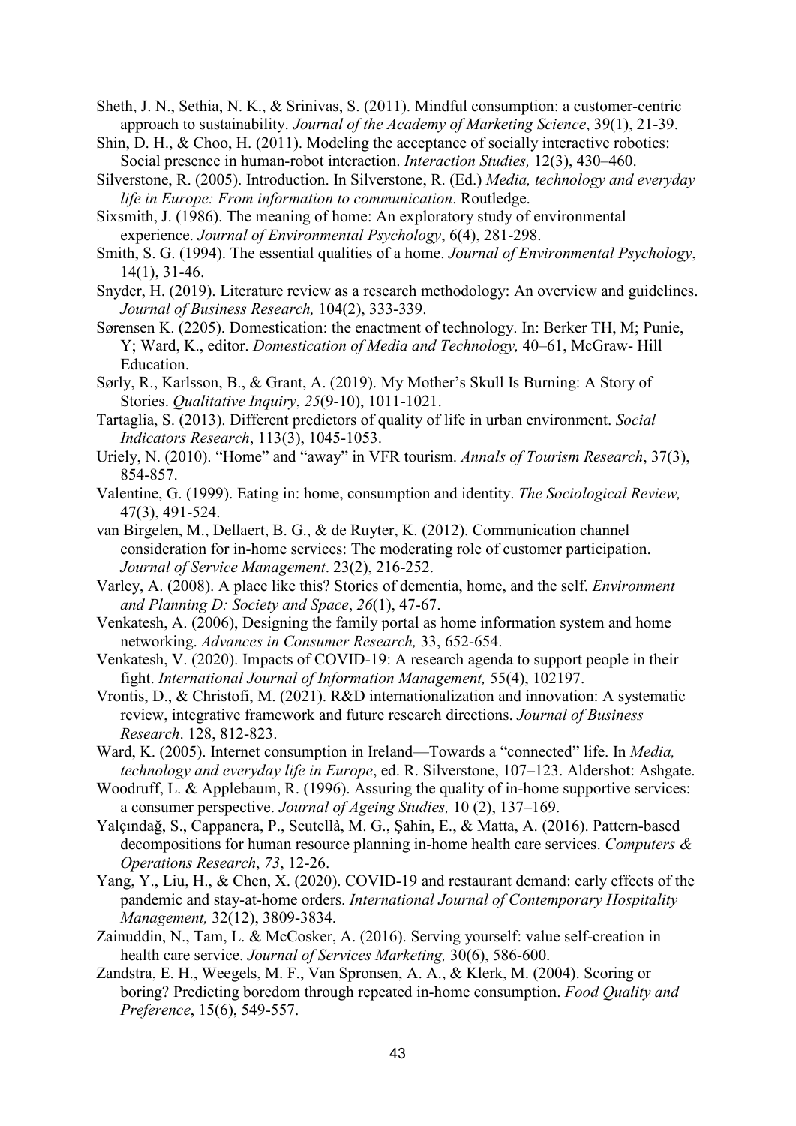Sheth, J. N., Sethia, N. K., & Srinivas, S. (2011). Mindful consumption: a customer-centric approach to sustainability. *Journal of the Academy of Marketing Science*, 39(1), 21-39.

- Shin, D. H., & Choo, H. (2011). Modeling the acceptance of socially interactive robotics: Social presence in human-robot interaction. *Interaction Studies,* 12(3), 430–460.
- Silverstone, R. (2005). Introduction. In Silverstone, R. (Ed.) *Media, technology and everyday life in Europe: From information to communication*. Routledge.
- Sixsmith, J. (1986). The meaning of home: An exploratory study of environmental experience. *Journal of Environmental Psychology*, 6(4), 281-298.
- Smith, S. G. (1994). The essential qualities of a home. *Journal of Environmental Psychology*, 14(1), 31-46.
- Snyder, H. (2019). Literature review as a research methodology: An overview and guidelines. *Journal of Business Research,* 104(2), 333-339.
- Sørensen K. (2205). Domestication: the enactment of technology. In: Berker TH, M; Punie, Y; Ward, K., editor. *Domestication of Media and Technology,* 40–61, McGraw- Hill Education.
- Sørly, R., Karlsson, B., & Grant, A. (2019). My Mother's Skull Is Burning: A Story of Stories. *Qualitative Inquiry*, *25*(9-10), 1011-1021.
- Tartaglia, S. (2013). Different predictors of quality of life in urban environment. *Social Indicators Research*, 113(3), 1045-1053.
- Uriely, N. (2010). "Home" and "away" in VFR tourism. *Annals of Tourism Research*, 37(3), 854-857.
- Valentine, G. (1999). Eating in: home, consumption and identity. *The Sociological Review,* 47(3), 491-524.
- van Birgelen, M., Dellaert, B. G., & de Ruyter, K. (2012). Communication channel consideration for in‐home services: The moderating role of customer participation. *Journal of Service Management*. 23(2), 216-252.
- Varley, A. (2008). A place like this? Stories of dementia, home, and the self. *Environment and Planning D: Society and Space*, *26*(1), 47-67.
- Venkatesh, A. (2006), Designing the family portal as home information system and home networking. *Advances in Consumer Research,* 33, 652-654.
- Venkatesh, V. (2020). Impacts of COVID-19: A research agenda to support people in their fight. *International Journal of Information Management,* 55(4), 102197.
- Vrontis, D., & Christofi, M. (2021). R&D internationalization and innovation: A systematic review, integrative framework and future research directions. *Journal of Business Research*. 128, 812-823.
- Ward, K. (2005). Internet consumption in Ireland—Towards a "connected" life. In *Media, technology and everyday life in Europe*, ed. R. Silverstone, 107–123. Aldershot: Ashgate.
- Woodruff, L. & Applebaum, R. (1996). Assuring the quality of in-home supportive services: a consumer perspective. *Journal of Ageing Studies,* 10 (2), 137–169.
- Yalçındağ, S., Cappanera, P., Scutellà, M. G., Şahin, E., & Matta, A. (2016). Pattern-based decompositions for human resource planning in-home health care services. *Computers & Operations Research*, *73*, 12-26.
- Yang, Y., Liu, H., & Chen, X. (2020). COVID-19 and restaurant demand: early effects of the pandemic and stay-at-home orders. *International Journal of Contemporary Hospitality Management,* 32(12), 3809-3834.
- Zainuddin, N., Tam, L. & McCosker, A. (2016). Serving yourself: value self-creation in health care service. *Journal of Services Marketing,* 30(6), 586-600.
- Zandstra, E. H., Weegels, M. F., Van Spronsen, A. A., & Klerk, M. (2004). Scoring or boring? Predicting boredom through repeated in-home consumption. *Food Quality and Preference*, 15(6), 549-557.